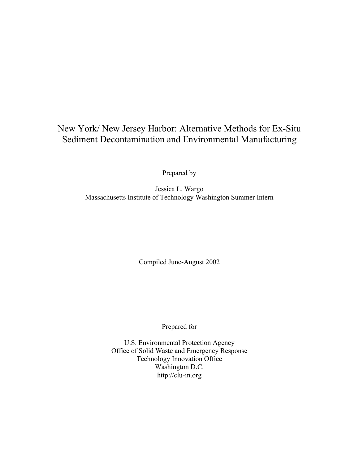# New York/ New Jersey Harbor: Alternative Methods for Ex-Situ Sediment Decontamination and Environmental Manufacturing

Prepared by

Jessica L. Wargo Massachusetts Institute of Technology Washington Summer Intern

Compiled June-August 2002

Prepared for

U.S. Environmental Protection Agency Office of Solid Waste and Emergency Response Technology Innovation Office Washington D.C. <http://clu-in.org>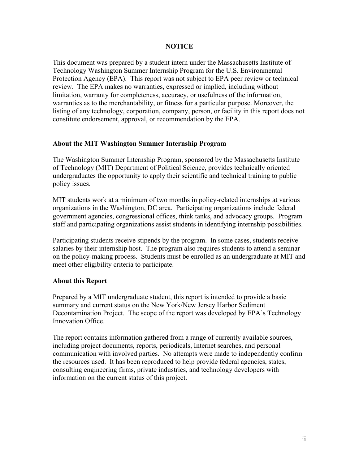### **NOTICE**

This document was prepared by a student intern under the Massachusetts Institute of Technology Washington Summer Internship Program for the U.S. Environmental Protection Agency (EPA). This report was not subject to EPA peer review or technical review. The EPA makes no warranties, expressed or implied, including without limitation, warranty for completeness, accuracy, or usefulness of the information, warranties as to the merchantability, or fitness for a particular purpose. Moreover, the listing of any technology, corporation, company, person, or facility in this report does not constitute endorsement, approval, or recommendation by the EPA.

### **About the MIT Washington Summer Internship Program**

The Washington Summer Internship Program, sponsored by the Massachusetts Institute of Technology (MIT) Department of Political Science, provides technically oriented undergraduates the opportunity to apply their scientific and technical training to public policy issues.

MIT students work at a minimum of two months in policy-related internships at various organizations in the Washington, DC area. Participating organizations include federal government agencies, congressional offices, think tanks, and advocacy groups. Program staff and participating organizations assist students in identifying internship possibilities.

Participating students receive stipends by the program. In some cases, students receive salaries by their internship host. The program also requires students to attend a seminar on the policy-making process. Students must be enrolled as an undergraduate at MIT and meet other eligibility criteria to participate.

### **About this Report**

Prepared by a MIT undergraduate student, this report is intended to provide a basic summary and current status on the New York/New Jersey Harbor Sediment Decontamination Project. The scope of the report was developed by EPA's Technology Innovation Office.

The report contains information gathered from a range of currently available sources, including project documents, reports, periodicals, Internet searches, and personal communication with involved parties. No attempts were made to independently confirm the resources used. It has been reproduced to help provide federal agencies, states, consulting engineering firms, private industries, and technology developers with information on the current status of this project.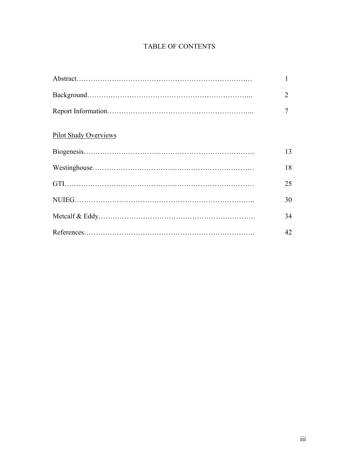# TABLE OF CONTENTS

|                              | $\overline{2}$ |
|------------------------------|----------------|
|                              | 7              |
| <b>Pilot Study Overviews</b> |                |
|                              | 13             |
|                              | 18             |
|                              | 25             |
|                              | 30             |
|                              | 34             |
|                              | 42             |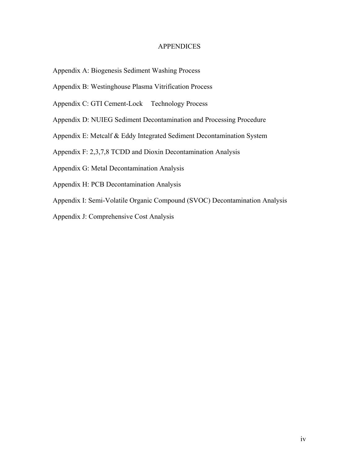### **APPENDICES**

- Appendix A: Biogenesis Sediment Washing Process
- Appendix B: Westinghouse Plasma Vitrification Process
- Appendix C: GTI Cement-Lock<sup>™</sup> Technology Process
- Appendix D: NUIEG Sediment Decontamination and Processing Procedure
- Appendix E: Metcalf & Eddy Integrated Sediment Decontamination System
- Appendix F: 2,3,7,8 TCDD and Dioxin Decontamination Analysis
- Appendix G: Metal Decontamination Analysis
- Appendix H: PCB Decontamination Analysis
- Appendix I: Semi-Volatile Organic Compound (SVOC) Decontamination Analysis
- Appendix J: Comprehensive Cost Analysis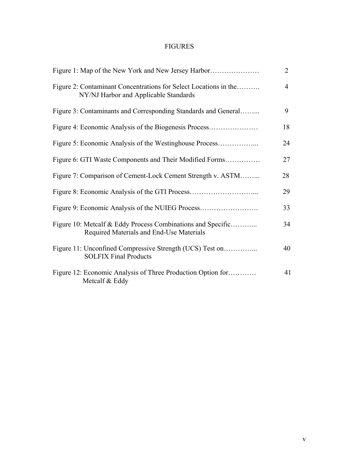## FIGURES

| Figure 1: Map of the New York and New Jersey Harbor                                                       | $\overline{2}$ |
|-----------------------------------------------------------------------------------------------------------|----------------|
| Figure 2: Contaminant Concentrations for Select Locations in the<br>NY/NJ Harbor and Applicable Standards | $\overline{4}$ |
| Figure 3: Contaminants and Corresponding Standards and General                                            | 9              |
| Figure 4: Economic Analysis of the Biogenesis Process                                                     | 18             |
| Figure 5: Economic Analysis of the Westinghouse Process                                                   | 24             |
| Figure 6: GTI Waste Components and Their Modified Forms                                                   | 27             |
| Figure 7: Comparison of Cement-Lock Cement Strength v. ASTM                                               | 28             |
|                                                                                                           | 29             |
| Figure 9: Economic Analysis of the NUIEG Process                                                          | 33             |
| Figure 10: Metcalf & Eddy Process Combinations and Specific<br>Required Materials and End-Use Materials   | 34             |
| Figure 11: Unconfined Compressive Strength (UCS) Test on<br><b>SOLFIX Final Products</b>                  | 40             |
| Figure 12: Economic Analysis of Three Production Option for<br>Metcalf & Eddy                             | 41             |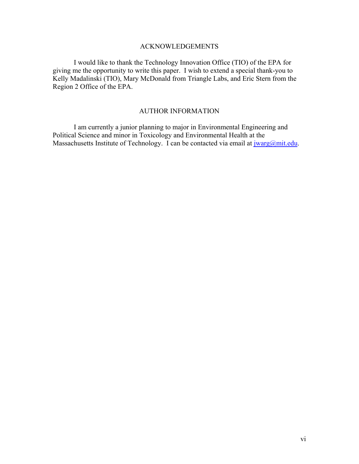### ACKNOWLEDGEMENTS

I would like to thank the Technology Innovation Office (TIO) of the EPA for giving me the opportunity to write this paper. I wish to extend a special thank-you to Kelly Madalinski (TIO), Mary McDonald from Triangle Labs, and Eric Stern from the Region 2 Office of the EPA.

## AUTHOR INFORMATION

I am currently a junior planning to major in Environmental Engineering and Political Science and minor in Toxicology and Environmental Health at the Massachusetts Institute of Technology. I can be contacted via email at  $\frac{j \cdot \text{warg}(a)}{m}$ .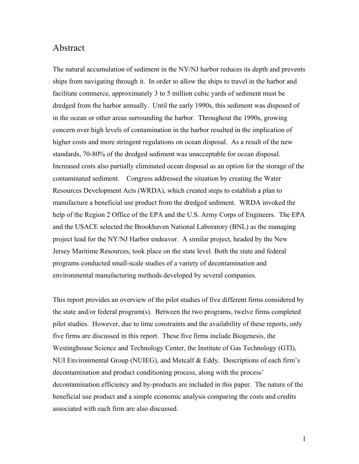## Abstract

The natural accumulation of sediment in the NY/NJ harbor reduces its depth and prevents ships from navigating through it. In order to allow the ships to travel in the harbor and facilitate commerce, approximately 3 to 5 million cubic yards of sediment must be dredged from the harbor annually. Until the early 1990s, this sediment was disposed of in the ocean or other areas surrounding the harbor. Throughout the 1990s, growing concern over high levels of contamination in the harbor resulted in the implication of higher costs and more stringent regulations on ocean disposal. As a result of the new standards, 70-80% of the dredged sediment was unacceptable for ocean disposal. Increased costs also partially eliminated ocean disposal as an option for the storage of the contaminated sediment. Congress addressed the situation by creating the Water Resources Development Acts (WRDA), which created steps to establish a plan to manufacture a beneficial use product from the dredged sediment. WRDA invoked the help of the Region 2 Office of the EPA and the U.S. Army Corps of Engineers. The EPA and the USACE selected the Brookhaven National Laboratory (BNL) as the managing project lead for the NY/NJ Harbor endeavor. A similar project, headed by the New Jersey Maritime Resources, took place on the state level. Both the state and federal programs conducted small-scale studies of a variety of decontamination and environmental manufacturing methods developed by several companies.

This report provides an overview of the pilot studies of five different firms considered by the state and/or federal program(s). Between the two programs, twelve firms completed pilot studies. However, due to time constraints and the availability of these reports, only five firms are discussed in this report. These five firms include Biogenesis, the Westinghouse Science and Technology Center, the Institute of Gas Technology (GTI), NUI Environmental Group (NUIEG), and Metcalf & Eddy. Descriptions of each firm's decontamination and product conditioning process, along with the process' decontamination efficiency and by-products are included in this paper. The nature of the beneficial use product and a simple economic analysis comparing the costs and credits associated with each firm are also discussed.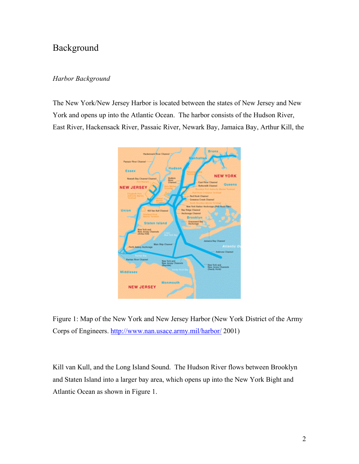# Background

### *Harbor Background*

The New York/New Jersey Harbor is located between the states of New Jersey and New York and opens up into the Atlantic Ocean. The harbor consists of the Hudson River, East River, Hackensack River, Passaic River, Newark Bay, Jamaica Bay, Arthur Kill, the





Kill van Kull, and the Long Island Sound. The Hudson River flows between Brooklyn and Staten Island into a larger bay area, which opens up into the New York Bight and Atlantic Ocean as shown in Figure 1.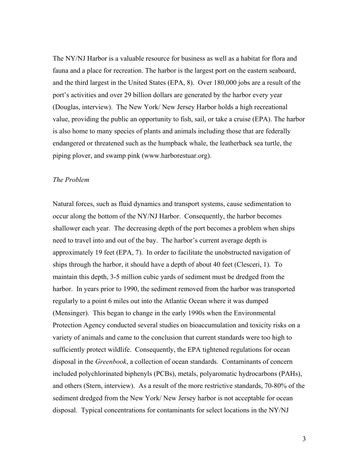The NY/NJ Harbor is a valuable resource for business as well as a habitat for flora and fauna and a place for recreation. The harbor is the largest port on the eastern seaboard, and the third largest in the United States (EPA, 8). Over 180,000 jobs are a result of the port's activities and over 29 billion dollars are generated by the harbor every year (Douglas, interview). The New York/ New Jersey Harbor holds a high recreational value, providing the public an opportunity to fish, sail, or take a cruise (EPA). The harbor is also home to many species of plants and animals including those that are federally endangered or threatened such as the humpback whale, the leatherback sea turtle, the piping plover, and swamp pink (www.harborestuar.org).

#### *The Problem*

Natural forces, such as fluid dynamics and transport systems, cause sedimentation to occur along the bottom of the NY/NJ Harbor. Consequently, the harbor becomes shallower each year. The decreasing depth of the port becomes a problem when ships need to travel into and out of the bay. The harbor's current average depth is approximately 19 feet (EPA, 7). In order to facilitate the unobstructed navigation of ships through the harbor, it should have a depth of about 40 feet (Clesceri, 1). To maintain this depth, 3-5 million cubic yards of sediment must be dredged from the harbor. In years prior to 1990, the sediment removed from the harbor was transported regularly to a point 6 miles out into the Atlantic Ocean where it was dumped (Mensinger). This began to change in the early 1990s when the Environmental Protection Agency conducted several studies on bioaccumulation and toxicity risks on a variety of animals and came to the conclusion that current standards were too high to sufficiently protect wildlife. Consequently, the EPA tightened regulations for ocean disposal in the *Greenbook*, a collection of ocean standards. Contaminants of concern included polychlorinated biphenyls (PCBs), metals, polyaromatic hydrocarbons (PAHs), and others (Stern, interview). As a result of the more restrictive standards, 70-80% of the sediment dredged from the New York/ New Jersey harbor is not acceptable for ocean disposal. Typical concentrations for contaminants for select locations in the NY/NJ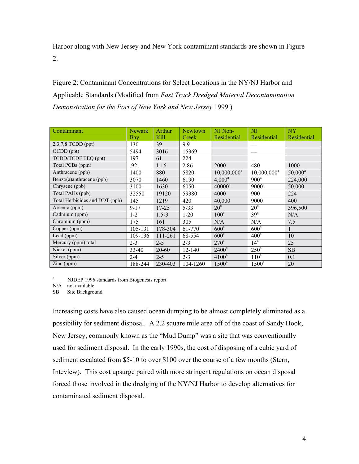Harbor along with New Jersey and New York contaminant standards are shown in Figure 2.

Figure 2: Contaminant Concentrations for Select Locations in the NY/NJ Harbor and Applicable Standards (Modified from *Fast Track Dredged Material Decontamination Demonstration for the Port of New York and New Jersey* 1999.)

| Contaminant                    | <b>Newark</b> | Arthur    | <b>Newtown</b> | NJ Non-          | N <sub>J</sub>   | <b>NY</b>    |
|--------------------------------|---------------|-----------|----------------|------------------|------------------|--------------|
|                                | Bay           | Kill      | Creek          | Residential      | Residential      | Residential  |
| 2,3,7,8 TCDD (ppt)             | 130           | 39        | 9.9            |                  | ---              |              |
| OCDD (ppt)                     | 5494          | 3016      | 15369          |                  | ---              |              |
| TCDD/TCDF TEQ (ppt)            | 197           | 61        | 224            |                  | ---              |              |
| Total PCBs (ppm)               | .92           | 1.16      | 2.86           | 2000             | 480              | 1000         |
| Anthracene (ppb)               | 1400          | 880       | 5820           | $10,000,000^a$   | $10,000,000^a$   | $50,000^a$   |
| Benzo(a)anthracene (ppb)       | 3070          | 1460      | 6190           | $4,000^a$        | $900^a$          | 224,000      |
| Chrysene (ppb)                 | 3100          | 1630      | 6050           | $40000^a$        | $9000^a$         | 50,000       |
| Total PAHs (ppb)               | 32550         | 19120     | 59380          | 4000             | 900              | 224          |
| Total Herbicides and DDT (ppb) | 145           | 1219      | 420            | 40,000           | 9000             | 400          |
| Arsenic (ppm)                  | $9 - 17$      | $17 - 25$ | 5-33           | 20 <sup>a</sup>  | 20 <sup>a</sup>  | 396,500      |
| Cadmium (ppm)                  | $1-2$         | $1.5 - 3$ | $1-20$         | $100^a$          | 39 <sup>a</sup>  | N/A          |
| Chromium (ppm)                 | 175           | 161       | 305            | N/A              | N/A              | 7.5          |
| Copper (ppm)                   | 105-131       | 178-304   | 61-770         | 600 <sup>a</sup> | 600 <sup>a</sup> | $\mathbf{1}$ |
| Lead (ppm)                     | 109-136       | 111-261   | 68-554         | 600 <sup>a</sup> | 400 <sup>a</sup> | 10           |
| Mercury (ppm) total            | $2 - 3$       | $2 - 5$   | $2 - 3$        | $270^a$          | 14 <sup>a</sup>  | 25           |
| Nickel (ppm)                   | 33-40         | 20-60     | $12 - 140$     | $2400^a$         | $250^{\circ}$    | SB           |
| Silver (ppm)                   | $2 - 4$       | $2 - 5$   | $2 - 3$        | $4100^a$         | $110^a$          | 0.1          |
| $\text{Zinc (ppm)}$            | 188-244       | 230-403   | 104-1260       | $1500^a$         | $1500^a$         | 20           |

<sup>a</sup> NJDEP 1996 standards from Biogenesis report

N/A not available

SB Site Background

Increasing costs have also caused ocean dumping to be almost completely eliminated as a possibility for sediment disposal. A 2.2 square mile area off of the coast of Sandy Hook, New Jersey, commonly known as the "Mud Dump" was a site that was conventionally used for sediment disposal. In the early 1990s, the cost of disposing of a cubic yard of sediment escalated from \$5-10 to over \$100 over the course of a few months (Stern, Inteview). This cost upsurge paired with more stringent regulations on ocean disposal forced those involved in the dredging of the NY/NJ Harbor to develop alternatives for contaminated sediment disposal.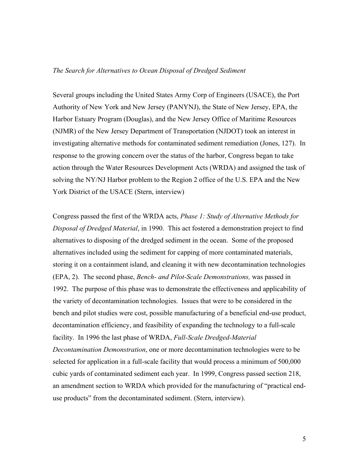### *The Search for Alternatives to Ocean Disposal of Dredged Sediment*

Several groups including the United States Army Corp of Engineers (USACE), the Port Authority of New York and New Jersey (PANYNJ), the State of New Jersey, EPA, the Harbor Estuary Program (Douglas), and the New Jersey Office of Maritime Resources (NJMR) of the New Jersey Department of Transportation (NJDOT) took an interest in investigating alternative methods for contaminated sediment remediation (Jones, 127). In response to the growing concern over the status of the harbor, Congress began to take action through the Water Resources Development Acts (WRDA) and assigned the task of solving the NY/NJ Harbor problem to the Region 2 office of the U.S. EPA and the New York District of the USACE (Stern, interview)

Congress passed the first of the WRDA acts, *Phase 1: Study of Alternative Methods for Disposal of Dredged Material*, in 1990. This act fostered a demonstration project to find alternatives to disposing of the dredged sediment in the ocean. Some of the proposed alternatives included using the sediment for capping of more contaminated materials, storing it on a containment island, and cleaning it with new decontamination technologies (EPA, 2). The second phase, *Bench- and Pilot-Scale Demonstrations,* was passed in 1992. The purpose of this phase was to demonstrate the effectiveness and applicability of the variety of decontamination technologies. Issues that were to be considered in the bench and pilot studies were cost, possible manufacturing of a beneficial end-use product, decontamination efficiency, and feasibility of expanding the technology to a full-scale facility. In 1996 the last phase of WRDA, *Full-Scale Dredged-Material Decontamination Demonstration*, one or more decontamination technologies were to be selected for application in a full-scale facility that would process a minimum of 500,000 cubic yards of contaminated sediment each year. In 1999, Congress passed section 218, an amendment section to WRDA which provided for the manufacturing of "practical enduse products" from the decontaminated sediment. (Stern, interview).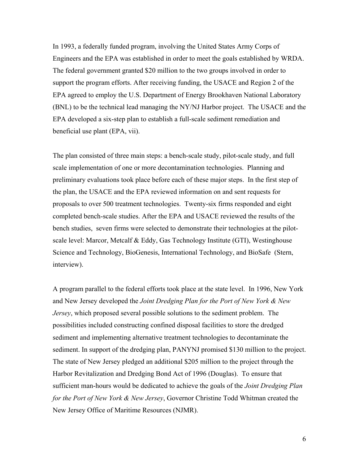In 1993, a federally funded program, involving the United States Army Corps of Engineers and the EPA was established in order to meet the goals established by WRDA. The federal government granted \$20 million to the two groups involved in order to support the program efforts. After receiving funding, the USACE and Region 2 of the EPA agreed to employ the U.S. Department of Energy Brookhaven National Laboratory (BNL) to be the technical lead managing the NY/NJ Harbor project. The USACE and the EPA developed a six-step plan to establish a full-scale sediment remediation and beneficial use plant (EPA, vii).

The plan consisted of three main steps: a bench-scale study, pilot-scale study, and full scale implementation of one or more decontamination technologies. Planning and preliminary evaluations took place before each of these major steps. In the first step of the plan, the USACE and the EPA reviewed information on and sent requests for proposals to over 500 treatment technologies. Twenty-six firms responded and eight completed bench-scale studies. After the EPA and USACE reviewed the results of the bench studies, seven firms were selected to demonstrate their technologies at the pilotscale level: Marcor, Metcalf & Eddy, Gas Technology Institute (GTI), Westinghouse Science and Technology, BioGenesis, International Technology, and BioSafe (Stern, interview).

A program parallel to the federal efforts took place at the state level. In 1996, New York and New Jersey developed the *Joint Dredging Plan for the Port of New York & New Jersey*, which proposed several possible solutions to the sediment problem. The possibilities included constructing confined disposal facilities to store the dredged sediment and implementing alternative treatment technologies to decontaminate the sediment. In support of the dredging plan, PANYNJ promised \$130 million to the project. The state of New Jersey pledged an additional \$205 million to the project through the Harbor Revitalization and Dredging Bond Act of 1996 (Douglas). To ensure that sufficient man-hours would be dedicated to achieve the goals of the *Joint Dredging Plan for the Port of New York & New Jersey*, Governor Christine Todd Whitman created the New Jersey Office of Maritime Resources (NJMR).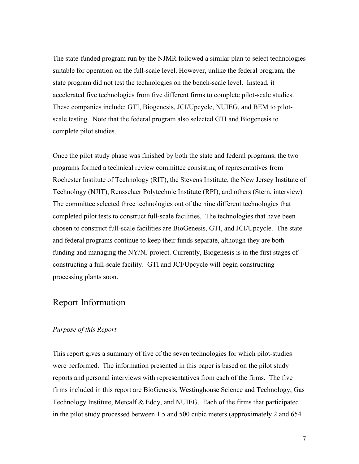The state-funded program run by the NJMR followed a similar plan to select technologies suitable for operation on the full-scale level. However, unlike the federal program, the state program did not test the technologies on the bench-scale level. Instead, it accelerated five technologies from five different firms to complete pilot-scale studies. These companies include: GTI, Biogenesis, JCI/Upcycle, NUIEG, and BEM to pilotscale testing. Note that the federal program also selected GTI and Biogenesis to complete pilot studies.

Once the pilot study phase was finished by both the state and federal programs, the two programs formed a technical review committee consisting of representatives from Rochester Institute of Technology (RIT), the Stevens Institute, the New Jersey Institute of Technology (NJIT), Rensselaer Polytechnic Institute (RPI), and others (Stern, interview) The committee selected three technologies out of the nine different technologies that completed pilot tests to construct full-scale facilities. The technologies that have been chosen to construct full-scale facilities are BioGenesis, GTI, and JCI/Upcycle. The state and federal programs continue to keep their funds separate, although they are both funding and managing the NY/NJ project. Currently, Biogenesis is in the first stages of constructing a full-scale facility. GTI and JCI/Upcycle will begin constructing processing plants soon.

# Report Information

### *Purpose of this Report*

This report gives a summary of five of the seven technologies for which pilot-studies were performed. The information presented in this paper is based on the pilot study reports and personal interviews with representatives from each of the firms. The five firms included in this report are BioGenesis, Westinghouse Science and Technology, Gas Technology Institute, Metcalf & Eddy, and NUIEG. Each of the firms that participated in the pilot study processed between 1.5 and 500 cubic meters (approximately 2 and 654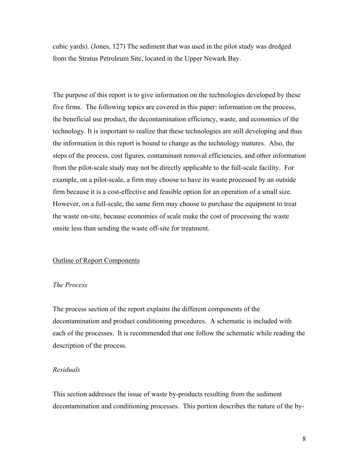cubic yards). (Jones, 127) The sediment that was used in the pilot study was dredged from the Stratus Petroleum Site, located in the Upper Newark Bay.

The purpose of this report is to give information on the technologies developed by these five firms. The following topics are covered in this paper: information on the process, the beneficial use product, the decontamination efficiency, waste, and economics of the technology. It is important to realize that these technologies are still developing and thus the information in this report is bound to change as the technology matures. Also, the steps of the process, cost figures, contaminant removal efficiencies, and other information from the pilot-scale study may not be directly applicable to the full-scale facility. For example, on a pilot-scale, a firm may choose to have its waste processed by an outside firm because it is a cost-effective and feasible option for an operation of a small size. However, on a full-scale, the same firm may choose to purchase the equipment to treat the waste on-site, because economies of scale make the cost of processing the waste onsite less than sending the waste off-site for treatment.

#### Outline of Report Components

#### *The Process*

The process section of the report explains the different components of the decontamination and product conditioning procedures. A schematic is included with each of the processes. It is recommended that one follow the schematic while reading the description of the process.

### *Residuals*

This section addresses the issue of waste by-products resulting from the sediment decontamination and conditioning processes. This portion describes the nature of the by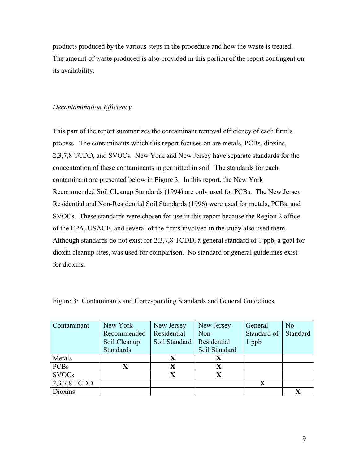products produced by the various steps in the procedure and how the waste is treated. The amount of waste produced is also provided in this portion of the report contingent on its availability.

### *Decontamination Efficiency*

This part of the report summarizes the contaminant removal efficiency of each firm's process. The contaminants which this report focuses on are metals, PCBs, dioxins, 2,3,7,8 TCDD, and SVOCs. New York and New Jersey have separate standards for the concentration of these contaminants in permitted in soil. The standards for each contaminant are presented below in Figure 3. In this report, the New York Recommended Soil Cleanup Standards (1994) are only used for PCBs. The New Jersey Residential and Non-Residential Soil Standards (1996) were used for metals, PCBs, and SVOCs. These standards were chosen for use in this report because the Region 2 office of the EPA, USACE, and several of the firms involved in the study also used them. Although standards do not exist for 2,3,7,8 TCDD, a general standard of 1 ppb, a goal for dioxin cleanup sites, was used for comparison. No standard or general guidelines exist for dioxins.

| Contaminant  | New York         | New Jersey    | New Jersey    | General     | N <sub>o</sub> |
|--------------|------------------|---------------|---------------|-------------|----------------|
|              | Recommended      | Residential   | Non-          | Standard of | Standard       |
|              | Soil Cleanup     | Soil Standard | Residential   | 1 ppb       |                |
|              | <b>Standards</b> |               | Soil Standard |             |                |
| Metals       |                  |               |               |             |                |
| <b>PCBs</b>  |                  |               | X             |             |                |
| <b>SVOCs</b> |                  |               |               |             |                |
| 2,3,7,8 TCDD |                  |               |               | X           |                |
| Dioxins      |                  |               |               |             |                |

Figure 3: Contaminants and Corresponding Standards and General Guidelines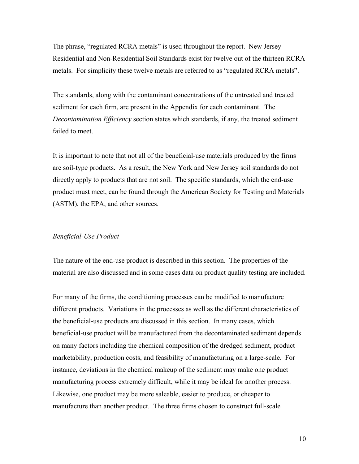The phrase, "regulated RCRA metals" is used throughout the report. New Jersey Residential and Non-Residential Soil Standards exist for twelve out of the thirteen RCRA metals. For simplicity these twelve metals are referred to as "regulated RCRA metals".

The standards, along with the contaminant concentrations of the untreated and treated sediment for each firm, are present in the Appendix for each contaminant. The *Decontamination Efficiency* section states which standards, if any, the treated sediment failed to meet.

It is important to note that not all of the beneficial-use materials produced by the firms are soil-type products. As a result, the New York and New Jersey soil standards do not directly apply to products that are not soil. The specific standards, which the end-use product must meet, can be found through the American Society for Testing and Materials (ASTM), the EPA, and other sources.

### *Beneficial-Use Product*

The nature of the end-use product is described in this section. The properties of the material are also discussed and in some cases data on product quality testing are included.

For many of the firms, the conditioning processes can be modified to manufacture different products. Variations in the processes as well as the different characteristics of the beneficial-use products are discussed in this section. In many cases, which beneficial-use product will be manufactured from the decontaminated sediment depends on many factors including the chemical composition of the dredged sediment, product marketability, production costs, and feasibility of manufacturing on a large-scale. For instance, deviations in the chemical makeup of the sediment may make one product manufacturing process extremely difficult, while it may be ideal for another process. Likewise, one product may be more saleable, easier to produce, or cheaper to manufacture than another product. The three firms chosen to construct full-scale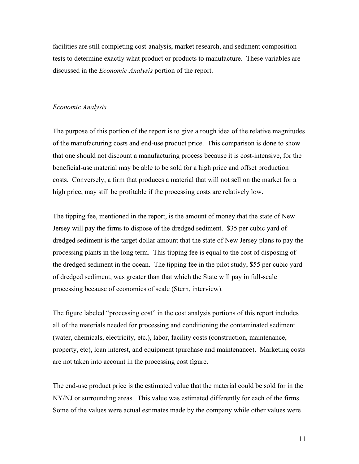facilities are still completing cost-analysis, market research, and sediment composition tests to determine exactly what product or products to manufacture. These variables are discussed in the *Economic Analysis* portion of the report.

### *Economic Analysis*

The purpose of this portion of the report is to give a rough idea of the relative magnitudes of the manufacturing costs and end-use product price. This comparison is done to show that one should not discount a manufacturing process because it is cost-intensive, for the beneficial-use material may be able to be sold for a high price and offset production costs. Conversely, a firm that produces a material that will not sell on the market for a high price, may still be profitable if the processing costs are relatively low.

The tipping fee, mentioned in the report, is the amount of money that the state of New Jersey will pay the firms to dispose of the dredged sediment. \$35 per cubic yard of dredged sediment is the target dollar amount that the state of New Jersey plans to pay the processing plants in the long term. This tipping fee is equal to the cost of disposing of the dredged sediment in the ocean. The tipping fee in the pilot study, \$55 per cubic yard of dredged sediment, was greater than that which the State will pay in full-scale processing because of economies of scale (Stern, interview).

The figure labeled "processing cost" in the cost analysis portions of this report includes all of the materials needed for processing and conditioning the contaminated sediment (water, chemicals, electricity, etc.), labor, facility costs (construction, maintenance, property, etc), loan interest, and equipment (purchase and maintenance). Marketing costs are not taken into account in the processing cost figure.

The end-use product price is the estimated value that the material could be sold for in the NY/NJ or surrounding areas. This value was estimated differently for each of the firms. Some of the values were actual estimates made by the company while other values were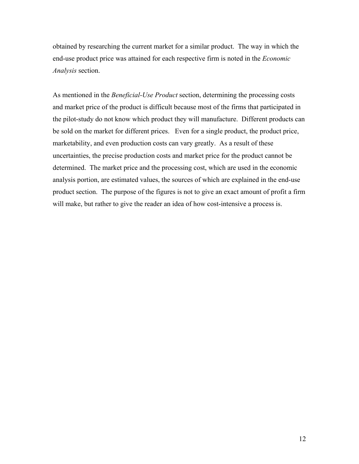obtained by researching the current market for a similar product. The way in which the end-use product price was attained for each respective firm is noted in the *Economic Analysis* section.

As mentioned in the *Beneficial-Use Product* section, determining the processing costs and market price of the product is difficult because most of the firms that participated in the pilot-study do not know which product they will manufacture. Different products can be sold on the market for different prices. Even for a single product, the product price, marketability, and even production costs can vary greatly. As a result of these uncertainties, the precise production costs and market price for the product cannot be determined. The market price and the processing cost, which are used in the economic analysis portion, are estimated values, the sources of which are explained in the end-use product section. The purpose of the figures is not to give an exact amount of profit a firm will make, but rather to give the reader an idea of how cost-intensive a process is.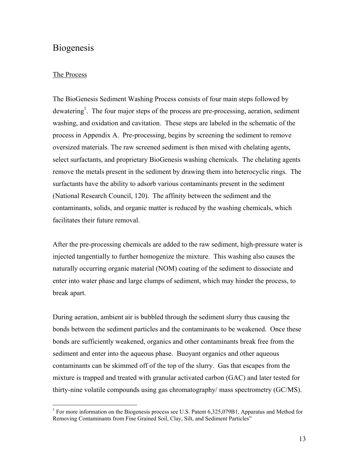# **Biogenesis**

### The Process

The BioGenesis Sediment Washing Process consists of four main steps followed by dewatering<sup>1</sup>. The four major steps of the process are pre-processing, aeration, sediment washing, and oxidation and cavitation. These steps are labeled in the schematic of the process in Appendix A. Pre-processing, begins by screening the sediment to remove oversized materials. The raw screened sediment is then mixed with chelating agents, select surfactants, and proprietary BioGenesis washing chemicals. The chelating agents remove the metals present in the sediment by drawing them into heterocyclic rings. The surfactants have the ability to adsorb various contaminants present in the sediment (National Research Council, 120). The affinity between the sediment and the contaminants, solids, and organic matter is reduced by the washing chemicals, which facilitates their future removal.

After the pre-processing chemicals are added to the raw sediment, high-pressure water is injected tangentially to further homogenize the mixture. This washing also causes the naturally occurring organic material (NOM) coating of the sediment to dissociate and enter into water phase and large clumps of sediment, which may hinder the process, to break apart.

During aeration, ambient air is bubbled through the sediment slurry thus causing the bonds between the sediment particles and the contaminants to be weakened. Once these bonds are sufficiently weakened, organics and other contaminants break free from the sediment and enter into the aqueous phase. Buoyant organics and other aqueous contaminants can be skimmed off of the top of the slurry. Gas that escapes from the mixture is trapped and treated with granular activated carbon (GAC) and later tested for thirty-nine volatile compounds using gas chromatography/ mass spectrometry (GC/MS).

<sup>&</sup>lt;sup>1</sup> For more information on the Biogenesis process see U.S. Patent 6,325,079B1, Apparatus and Method for Removing Contaminants from Fine Grained Soil, Clay, Silt, and Sediment Particles"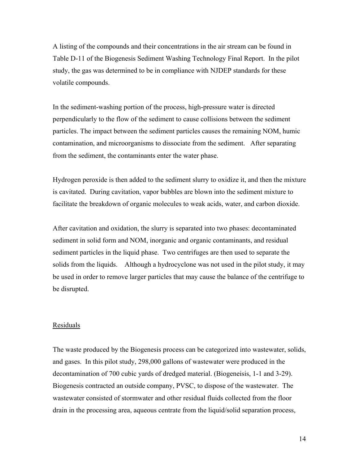A listing of the compounds and their concentrations in the air stream can be found in Table D-11 of the Biogenesis Sediment Washing Technology Final Report. In the pilot study, the gas was determined to be in compliance with NJDEP standards for these volatile compounds.

In the sediment-washing portion of the process, high-pressure water is directed perpendicularly to the flow of the sediment to cause collisions between the sediment particles. The impact between the sediment particles causes the remaining NOM, humic contamination, and microorganisms to dissociate from the sediment. After separating from the sediment, the contaminants enter the water phase.

Hydrogen peroxide is then added to the sediment slurry to oxidize it, and then the mixture is cavitated. During cavitation, vapor bubbles are blown into the sediment mixture to facilitate the breakdown of organic molecules to weak acids, water, and carbon dioxide.

After cavitation and oxidation, the slurry is separated into two phases: decontaminated sediment in solid form and NOM, inorganic and organic contaminants, and residual sediment particles in the liquid phase. Two centrifuges are then used to separate the solids from the liquids. Although a hydrocyclone was not used in the pilot study, it may be used in order to remove larger particles that may cause the balance of the centrifuge to be disrupted.

### Residuals

The waste produced by the Biogenesis process can be categorized into wastewater, solids, and gases. In this pilot study, 298,000 gallons of wastewater were produced in the decontamination of 700 cubic yards of dredged material. (Biogeneisis, 1-1 and 3-29). Biogenesis contracted an outside company, PVSC, to dispose of the wastewater. The wastewater consisted of stormwater and other residual fluids collected from the floor drain in the processing area, aqueous centrate from the liquid/solid separation process,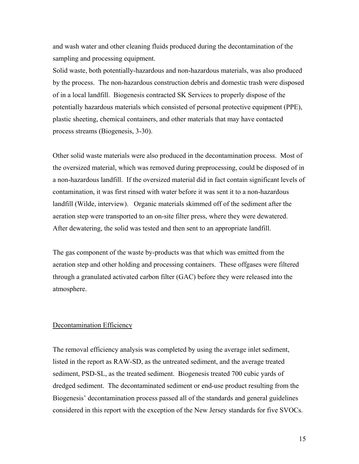and wash water and other cleaning fluids produced during the decontamination of the sampling and processing equipment.

Solid waste, both potentially-hazardous and non-hazardous materials, was also produced by the process. The non-hazardous construction debris and domestic trash were disposed of in a local landfill. Biogenesis contracted SK Services to properly dispose of the potentially hazardous materials which consisted of personal protective equipment (PPE), plastic sheeting, chemical containers, and other materials that may have contacted process streams (Biogenesis, 3-30).

Other solid waste materials were also produced in the decontamination process. Most of the oversized material, which was removed during preprocessing, could be disposed of in a non-hazardous landfill. If the oversized material did in fact contain significant levels of contamination, it was first rinsed with water before it was sent it to a non-hazardous landfill (Wilde, interview). Organic materials skimmed off of the sediment after the aeration step were transported to an on-site filter press, where they were dewatered. After dewatering, the solid was tested and then sent to an appropriate landfill.

The gas component of the waste by-products was that which was emitted from the aeration step and other holding and processing containers. These offgases were filtered through a granulated activated carbon filter (GAC) before they were released into the atmosphere.

#### Decontamination Efficiency

The removal efficiency analysis was completed by using the average inlet sediment, listed in the report as RAW-SD, as the untreated sediment, and the average treated sediment, PSD-SL, as the treated sediment. Biogenesis treated 700 cubic yards of dredged sediment. The decontaminated sediment or end-use product resulting from the Biogenesis' decontamination process passed all of the standards and general guidelines considered in this report with the exception of the New Jersey standards for five SVOCs.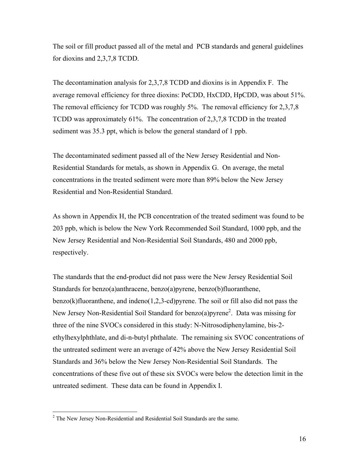The soil or fill product passed all of the metal and PCB standards and general guidelines for dioxins and 2,3,7,8 TCDD.

The decontamination analysis for 2,3,7,8 TCDD and dioxins is in Appendix F. The average removal efficiency for three dioxins: PeCDD, HxCDD, HpCDD, was about 51%. The removal efficiency for TCDD was roughly 5%. The removal efficiency for 2,3,7,8 TCDD was approximately 61%. The concentration of 2,3,7,8 TCDD in the treated sediment was 35.3 ppt, which is below the general standard of 1 ppb.

The decontaminated sediment passed all of the New Jersey Residential and Non-Residential Standards for metals, as shown in Appendix G. On average, the metal concentrations in the treated sediment were more than 89% below the New Jersey Residential and Non-Residential Standard.

As shown in Appendix H, the PCB concentration of the treated sediment was found to be 203 ppb, which is below the New York Recommended Soil Standard, 1000 ppb, and the New Jersey Residential and Non-Residential Soil Standards, 480 and 2000 ppb, respectively.

The standards that the end-product did not pass were the New Jersey Residential Soil Standards for benzo(a)anthracene, benzo(a)pyrene, benzo(b)fluoranthene,  $benzo(k)$ fluoranthene, and indeno $(1,2,3$ -cd)pyrene. The soil or fill also did not pass the New Jersey Non-Residential Soil Standard for benzo(a)pyrene<sup>2</sup>. Data was missing for three of the nine SVOCs considered in this study: N-Nitrosodiphenylamine, bis-2 ethylhexylphthlate, and di-n-butyl phthalate. The remaining six SVOC concentrations of the untreated sediment were an average of 42% above the New Jersey Residential Soil Standards and 36% below the New Jersey Non-Residential Soil Standards. The concentrations of these five out of these six SVOCs were below the detection limit in the untreated sediment. These data can be found in Appendix I.

 $2^2$  The New Jersey Non-Residential and Residential Soil Standards are the same.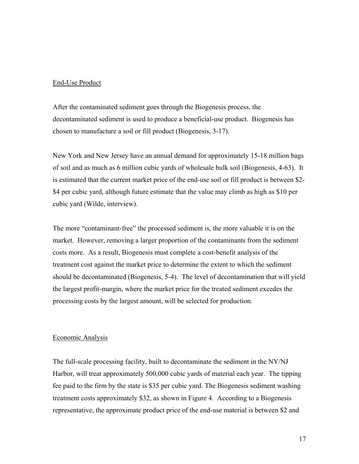### End-Use Product

After the contaminated sediment goes through the Biogenesis process, the decontaminated sediment is used to produce a beneficial-use product. Biogenesis has chosen to manufacture a soil or fill product (Biogenesis, 3-17).

New York and New Jersey have an annual demand for approximately 15-18 million bags of soil and as much as 6 million cubic yards of wholesale bulk soil (Biogenesis, 4-63). It is estimated that the current market price of the end-use soil or fill product is between \$2- \$4 per cubic yard, although future estimate that the value may climb as high as \$10 per cubic yard (Wilde, interview).

The more "contaminant-free" the processed sediment is, the more valuable it is on the market. However, removing a larger proportion of the contaminants from the sediment costs more. As a result, Biogenesis must complete a cost-benefit analysis of the treatment cost against the market price to determine the extent to which the sediment should be decontaminated (Biogenesis, 5-4). The level of decontamination that will yield the largest profit-margin, where the market price for the treated sediment excedes the processing costs by the largest amount, will be selected for production.

### Economic Analysis

The full-scale processing facility, built to decontaminate the sediment in the NY/NJ Harbor, will treat approximately 500,000 cubic yards of material each year. The tipping fee paid to the firm by the state is \$35 per cubic yard. The Biogenesis sediment washing treatment costs approximately \$32, as shown in Figure 4. According to a Biogenesis representative, the approximate product price of the end-use material is between \$2 and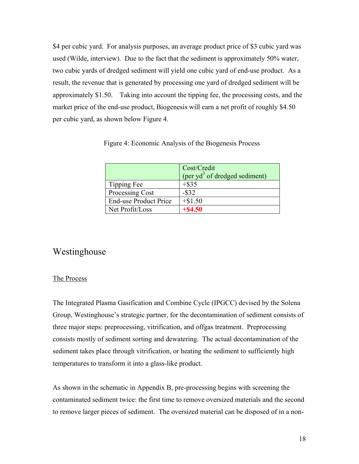\$4 per cubic yard. For analysis purposes, an average product price of \$3 cubic yard was used (Wilde, interview). Due to the fact that the sediment is approximately 50% water, two cubic yards of dredged sediment will yield one cubic yard of end-use product. As a result, the revenue that is generated by processing one yard of dredged sediment will be approximately \$1.50. Taking into account the tipping fee, the processing costs, and the market price of the end-use product, Biogenesis will earn a net profit of roughly \$4.50 per cubic yard, as shown below Figure 4.

|                              | Cost/Credit<br>(per $yd^3$ of dredged sediment) |
|------------------------------|-------------------------------------------------|
| Tipping Fee                  | $+$ \$35                                        |
| Processing Cost              | $-$ \$32                                        |
| <b>End-use Product Price</b> | $+ $1.50$                                       |
| Net Profit/Loss              | $+$ \$4.50                                      |

Figure 4: Economic Analysis of the Biogenesis Process

# Westinghouse

### The Process

The Integrated Plasma Gasification and Combine Cycle (IPGCC) devised by the Solena Group, Westinghouse's strategic partner, for the decontamination of sediment consists of three major steps: preprocessing, vitrification, and offgas treatment. Preprocessing consists mostly of sediment sorting and dewatering. The actual decontamination of the sediment takes place through vitrification, or heating the sediment to sufficiently high temperatures to transform it into a glass-like product.

As shown in the schematic in Appendix B, pre-processing begins with screening the contaminated sediment twice: the first time to remove oversized materials and the second to remove larger pieces of sediment. The oversized material can be disposed of in a non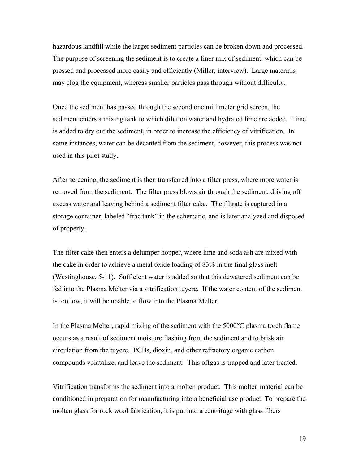hazardous landfill while the larger sediment particles can be broken down and processed. The purpose of screening the sediment is to create a finer mix of sediment, which can be pressed and processed more easily and efficiently (Miller, interview). Large materials may clog the equipment, whereas smaller particles pass through without difficulty.

Once the sediment has passed through the second one millimeter grid screen, the sediment enters a mixing tank to which dilution water and hydrated lime are added. Lime is added to dry out the sediment, in order to increase the efficiency of vitrification. In some instances, water can be decanted from the sediment, however, this process was not used in this pilot study.

After screening, the sediment is then transferred into a filter press, where more water is removed from the sediment. The filter press blows air through the sediment, driving off excess water and leaving behind a sediment filter cake. The filtrate is captured in a storage container, labeled "frac tank" in the schematic, and is later analyzed and disposed of properly.

The filter cake then enters a delumper hopper, where lime and soda ash are mixed with the cake in order to achieve a metal oxide loading of 83% in the final glass melt (Westinghouse, 5-11). Sufficient water is added so that this dewatered sediment can be fed into the Plasma Melter via a vitrification tuyere. If the water content of the sediment is too low, it will be unable to flow into the Plasma Melter.

In the Plasma Melter, rapid mixing of the sediment with the 5000°C plasma torch flame occurs as a result of sediment moisture flashing from the sediment and to brisk air circulation from the tuyere. PCBs, dioxin, and other refractory organic carbon compounds volatalize, and leave the sediment. This offgas is trapped and later treated.

Vitrification transforms the sediment into a molten product. This molten material can be conditioned in preparation for manufacturing into a beneficial use product. To prepare the molten glass for rock wool fabrication, it is put into a centrifuge with glass fibers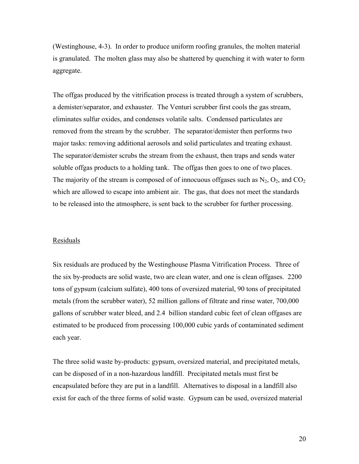(Westinghouse, 4-3). In order to produce uniform roofing granules, the molten material is granulated. The molten glass may also be shattered by quenching it with water to form aggregate.

The offgas produced by the vitrification process is treated through a system of scrubbers, a demister/separator, and exhauster. The Venturi scrubber first cools the gas stream, eliminates sulfur oxides, and condenses volatile salts. Condensed particulates are removed from the stream by the scrubber. The separator/demister then performs two major tasks: removing additional aerosols and solid particulates and treating exhaust. The separator/demister scrubs the stream from the exhaust, then traps and sends water soluble offgas products to a holding tank. The offgas then goes to one of two places. The majority of the stream is composed of of innocuous offgases such as  $N_2$ ,  $O_2$ , and  $CO_2$ which are allowed to escape into ambient air. The gas, that does not meet the standards to be released into the atmosphere, is sent back to the scrubber for further processing.

### Residuals

Six residuals are produced by the Westinghouse Plasma Vitrification Process. Three of the six by-products are solid waste, two are clean water, and one is clean offgases. 2200 tons of gypsum (calcium sulfate), 400 tons of oversized material, 90 tons of precipitated metals (from the scrubber water), 52 million gallons of filtrate and rinse water, 700,000 gallons of scrubber water bleed, and 2.4 billion standard cubic feet of clean offgases are estimated to be produced from processing 100,000 cubic yards of contaminated sediment each year.

The three solid waste by-products: gypsum, oversized material, and precipitated metals, can be disposed of in a non-hazardous landfill. Precipitated metals must first be encapsulated before they are put in a landfill. Alternatives to disposal in a landfill also exist for each of the three forms of solid waste. Gypsum can be used, oversized material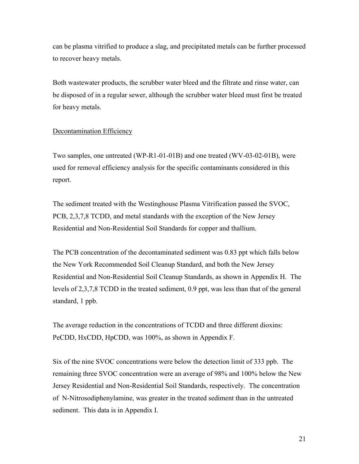can be plasma vitrified to produce a slag, and precipitated metals can be further processed to recover heavy metals.

Both wastewater products, the scrubber water bleed and the filtrate and rinse water, can be disposed of in a regular sewer, although the scrubber water bleed must first be treated for heavy metals.

### Decontamination Efficiency

Two samples, one untreated (WP-R1-01-01B) and one treated (WV-03-02-01B), were used for removal efficiency analysis for the specific contaminants considered in this report.

The sediment treated with the Westinghouse Plasma Vitrification passed the SVOC, PCB, 2,3,7,8 TCDD, and metal standards with the exception of the New Jersey Residential and Non-Residential Soil Standards for copper and thallium.

The PCB concentration of the decontaminated sediment was 0.83 ppt which falls below the New York Recommended Soil Cleanup Standard, and both the New Jersey Residential and Non-Residential Soil Cleanup Standards, as shown in Appendix H. The levels of 2,3,7,8 TCDD in the treated sediment, 0.9 ppt, was less than that of the general standard, 1 ppb.

The average reduction in the concentrations of TCDD and three different dioxins: PeCDD, HxCDD, HpCDD, was 100%, as shown in Appendix F.

Six of the nine SVOC concentrations were below the detection limit of 333 ppb. The remaining three SVOC concentration were an average of 98% and 100% below the New Jersey Residential and Non-Residential Soil Standards, respectively. The concentration of N-Nitrosodiphenylamine, was greater in the treated sediment than in the untreated sediment. This data is in Appendix I.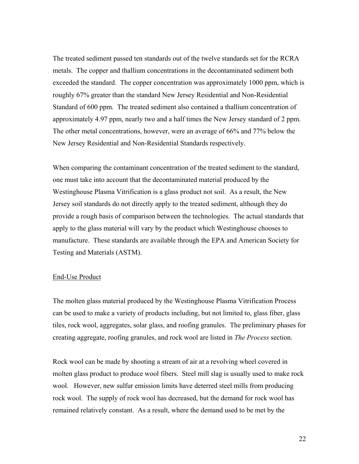The treated sediment passed ten standards out of the twelve standards set for the RCRA metals. The copper and thallium concentrations in the decontaminated sediment both exceeded the standard. The copper concentration was approximately 1000 ppm, which is roughly 67% greater than the standard New Jersey Residential and Non-Residential Standard of 600 ppm. The treated sediment also contained a thallium concentration of approximately 4.97 ppm, nearly two and a half times the New Jersey standard of 2 ppm. The other metal concentrations, however, were an average of 66% and 77% below the New Jersey Residential and Non-Residential Standards respectively.

When comparing the contaminant concentration of the treated sediment to the standard, one must take into account that the decontaminated material produced by the Westinghouse Plasma Vitrification is a glass product not soil. As a result, the New Jersey soil standards do not directly apply to the treated sediment, although they do provide a rough basis of comparison between the technologies. The actual standards that apply to the glass material will vary by the product which Westinghouse chooses to manufacture. These standards are available through the EPA and American Society for Testing and Materials (ASTM).

#### End-Use Product

The molten glass material produced by the Westinghouse Plasma Vitrification Process can be used to make a variety of products including, but not limited to, glass fiber, glass tiles, rock wool, aggregates, solar glass, and roofing granules. The preliminary phases for creating aggregate, roofing granules, and rock wool are listed in *The Process* section.

Rock wool can be made by shooting a stream of air at a revolving wheel covered in molten glass product to produce wool fibers. Steel mill slag is usually used to make rock wool. However, new sulfur emission limits have deterred steel mills from producing rock wool. The supply of rock wool has decreased, but the demand for rock wool has remained relatively constant. As a result, where the demand used to be met by the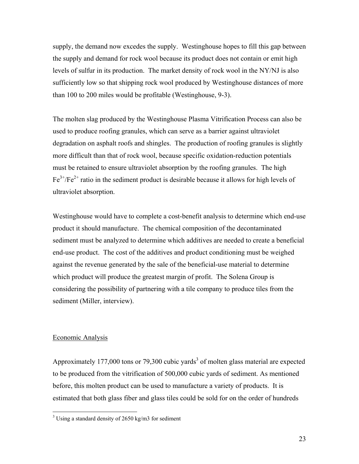supply, the demand now excedes the supply. Westinghouse hopes to fill this gap between the supply and demand for rock wool because its product does not contain or emit high levels of sulfur in its production. The market density of rock wool in the NY/NJ is also sufficiently low so that shipping rock wool produced by Westinghouse distances of more than 100 to 200 miles would be profitable (Westinghouse, 9-3).

The molten slag produced by the Westinghouse Plasma Vitrification Process can also be used to produce roofing granules, which can serve as a barrier against ultraviolet degradation on asphalt roofs and shingles. The production of roofing granules is slightly more difficult than that of rock wool, because specific oxidation-reduction potentials must be retained to ensure ultraviolet absorption by the roofing granules. The high  $Fe^{3+}/Fe^{2+}$  ratio in the sediment product is desirable because it allows for high levels of ultraviolet absorption.

Westinghouse would have to complete a cost-benefit analysis to determine which end-use product it should manufacture. The chemical composition of the decontaminated sediment must be analyzed to determine which additives are needed to create a beneficial end-use product. The cost of the additives and product conditioning must be weighed against the revenue generated by the sale of the beneficial-use material to determine which product will produce the greatest margin of profit. The Solena Group is considering the possibility of partnering with a tile company to produce tiles from the sediment (Miller, interview).

### Economic Analysis

Approximately 177,000 tons or 79,300 cubic yards<sup>3</sup> of molten glass material are expected to be produced from the vitrification of 500,000 cubic yards of sediment. As mentioned before, this molten product can be used to manufacture a variety of products. It is estimated that both glass fiber and glass tiles could be sold for on the order of hundreds

<sup>&</sup>lt;sup>3</sup> Using a standard density of 2650 kg/m3 for sediment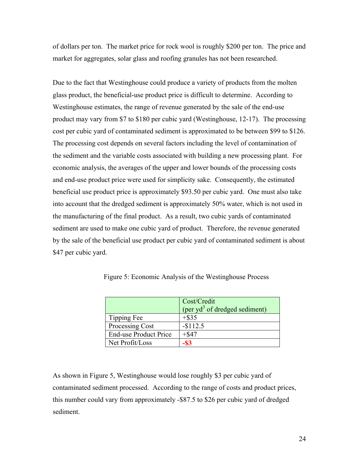of dollars per ton. The market price for rock wool is roughly \$200 per ton. The price and market for aggregates, solar glass and roofing granules has not been researched.

Due to the fact that Westinghouse could produce a variety of products from the molten glass product, the beneficial-use product price is difficult to determine. According to Westinghouse estimates, the range of revenue generated by the sale of the end-use product may vary from \$7 to \$180 per cubic yard (Westinghouse, 12-17). The processing cost per cubic yard of contaminated sediment is approximated to be between \$99 to \$126. The processing cost depends on several factors including the level of contamination of the sediment and the variable costs associated with building a new processing plant. For economic analysis, the averages of the upper and lower bounds of the processing costs and end-use product price were used for simplicity sake. Consequently, the estimated beneficial use product price is approximately \$93.50 per cubic yard. One must also take into account that the dredged sediment is approximately 50% water, which is not used in the manufacturing of the final product. As a result, two cubic yards of contaminated sediment are used to make one cubic yard of product. Therefore, the revenue generated by the sale of the beneficial use product per cubic yard of contaminated sediment is about \$47 per cubic yard.

|                              | Cost/Credit<br>(per $yd^3$ of dredged sediment) |
|------------------------------|-------------------------------------------------|
| Tipping Fee                  | $+$ \$35                                        |
| Processing Cost              | $-$112.5$                                       |
| <b>End-use Product Price</b> | $+$ \$47                                        |
| Net Profit/Loss              | -\$3                                            |

Figure 5: Economic Analysis of the Westinghouse Process

As shown in Figure 5, Westinghouse would lose roughly \$3 per cubic yard of contaminated sediment processed. According to the range of costs and product prices, this number could vary from approximately -\$87.5 to \$26 per cubic yard of dredged sediment.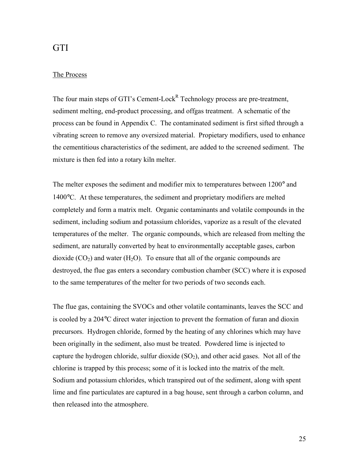# **GTI**

### The Process

The four main steps of GTI's Cement-Lock<sup>R</sup> Technology process are pre-treatment, sediment melting, end-product processing, and offgas treatment. A schematic of the process can be found in Appendix C. The contaminated sediment is first sifted through a vibrating screen to remove any oversized material. Propietary modifiers, used to enhance the cementitious characteristics of the sediment, are added to the screened sediment. The mixture is then fed into a rotary kiln melter.

The melter exposes the sediment and modifier mix to temperatures between 1200° and 1400°C. At these temperatures, the sediment and proprietary modifiers are melted completely and form a matrix melt. Organic contaminants and volatile compounds in the sediment, including sodium and potassium chlorides, vaporize as a result of the elevated temperatures of the melter. The organic compounds, which are released from melting the sediment, are naturally converted by heat to environmentally acceptable gases, carbon dioxide  $(CO_2)$  and water  $(H_2O)$ . To ensure that all of the organic compounds are destroyed, the flue gas enters a secondary combustion chamber (SCC) where it is exposed to the same temperatures of the melter for two periods of two seconds each.

The flue gas, containing the SVOCs and other volatile contaminants, leaves the SCC and is cooled by a 204°C direct water injection to prevent the formation of furan and dioxin precursors. Hydrogen chloride, formed by the heating of any chlorines which may have been originally in the sediment, also must be treated. Powdered lime is injected to capture the hydrogen chloride, sulfur dioxide  $(SO<sub>2</sub>)$ , and other acid gases. Not all of the chlorine is trapped by this process; some of it is locked into the matrix of the melt. Sodium and potassium chlorides, which transpired out of the sediment, along with spent lime and fine particulates are captured in a bag house, sent through a carbon column, and then released into the atmosphere.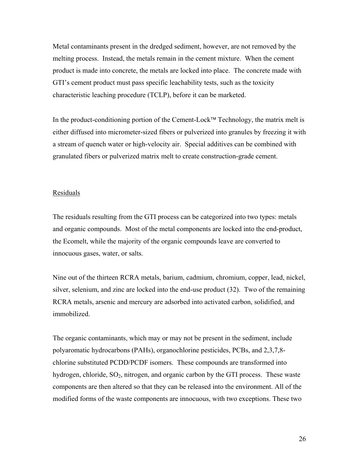Metal contaminants present in the dredged sediment, however, are not removed by the melting process. Instead, the metals remain in the cement mixture. When the cement product is made into concrete, the metals are locked into place. The concrete made with GTI's cement product must pass specific leachability tests, such as the toxicity characteristic leaching procedure (TCLP), before it can be marketed.

In the product-conditioning portion of the Cement-Lock<sup>TM</sup> Technology, the matrix melt is either diffused into micrometer-sized fibers or pulverized into granules by freezing it with a stream of quench water or high-velocity air. Special additives can be combined with granulated fibers or pulverized matrix melt to create construction-grade cement.

#### Residuals

The residuals resulting from the GTI process can be categorized into two types: metals and organic compounds. Most of the metal components are locked into the end-product, the Ecomelt, while the majority of the organic compounds leave are converted to innocuous gases, water, or salts.

Nine out of the thirteen RCRA metals, barium, cadmium, chromium, copper, lead, nickel, silver, selenium, and zinc are locked into the end-use product (32). Two of the remaining RCRA metals, arsenic and mercury are adsorbed into activated carbon, solidified, and immobilized.

The organic contaminants, which may or may not be present in the sediment, include polyaromatic hydrocarbons (PAHs), organochlorine pesticides, PCBs, and 2,3,7,8 chlorine substituted PCDD/PCDF isomers. These compounds are transformed into hydrogen, chloride,  $SO_2$ , nitrogen, and organic carbon by the GTI process. These waste components are then altered so that they can be released into the environment. All of the modified forms of the waste components are innocuous, with two exceptions. These two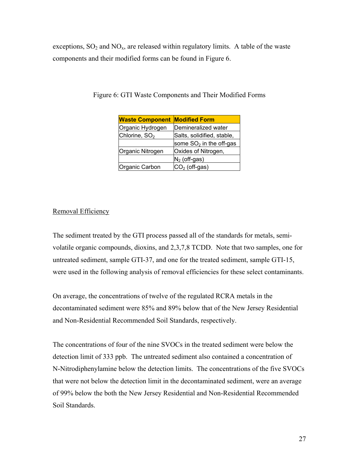exceptions,  $SO_2$  and  $NO_x$ , are released within regulatory limits. A table of the waste components and their modified forms can be found in Figure 6.

| <b>Waste Component</b>    | <b>Modified Form</b>       |
|---------------------------|----------------------------|
| Organic Hydrogen          | Demineralized water        |
| Chlorine, SO <sub>2</sub> | Salts, solidified, stable, |
|                           | some $SO2$ in the off-gas  |
| Organic Nitrogen          | Oxides of Nitrogen,        |
|                           | $N_2$ (off-gas)            |
| Organic Carbon            | $CO2$ (off-gas)            |

Figure 6: GTI Waste Components and Their Modified Forms

## Removal Efficiency

The sediment treated by the GTI process passed all of the standards for metals, semivolatile organic compounds, dioxins, and 2,3,7,8 TCDD. Note that two samples, one for untreated sediment, sample GTI-37, and one for the treated sediment, sample GTI-15, were used in the following analysis of removal efficiencies for these select contaminants.

On average, the concentrations of twelve of the regulated RCRA metals in the decontaminated sediment were 85% and 89% below that of the New Jersey Residential and Non-Residential Recommended Soil Standards, respectively.

The concentrations of four of the nine SVOCs in the treated sediment were below the detection limit of 333 ppb. The untreated sediment also contained a concentration of N-Nitrodiphenylamine below the detection limits. The concentrations of the five SVOCs that were not below the detection limit in the decontaminated sediment, were an average of 99% below the both the New Jersey Residential and Non-Residential Recommended Soil Standards.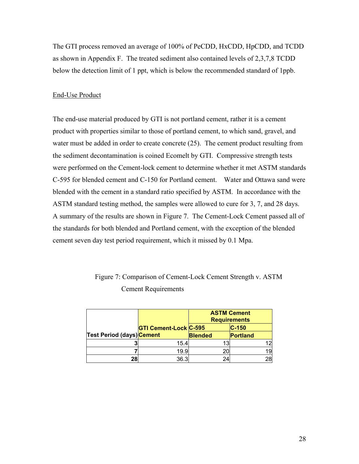The GTI process removed an average of 100% of PeCDD, HxCDD, HpCDD, and TCDD as shown in Appendix F. The treated sediment also contained levels of 2,3,7,8 TCDD below the detection limit of 1 ppt, which is below the recommended standard of 1ppb.

### End-Use Product

The end-use material produced by GTI is not portland cement, rather it is a cement product with properties similar to those of portland cement, to which sand, gravel, and water must be added in order to create concrete (25). The cement product resulting from the sediment decontamination is coined Ecomelt by GTI. Compressive strength tests were performed on the Cement-lock cement to determine whether it met ASTM standards C-595 for blended cement and C-150 for Portland cement. Water and Ottawa sand were blended with the cement in a standard ratio specified by ASTM. In accordance with the ASTM standard testing method, the samples were allowed to cure for 3, 7, and 28 days. A summary of the results are shown in Figure 7. The Cement-Lock Cement passed all of the standards for both blended and Portland cement, with the exception of the blended cement seven day test period requirement, which it missed by 0.1 Mpa.

|                                  |                              | <b>ASTM Cement</b><br><b>Requirements</b> |          |
|----------------------------------|------------------------------|-------------------------------------------|----------|
|                                  | <b>GTI Cement-Lock C-595</b> |                                           | $C-150$  |
| <b>Test Period (days) Cement</b> |                              | <b>Blended</b>                            | Portland |
|                                  | 15.4                         | 13                                        |          |
|                                  | 19.9                         | 20                                        | 19       |
|                                  | 36.3                         | 24                                        | 28       |

Figure 7: Comparison of Cement-Lock Cement Strength v. ASTM Cement Requirements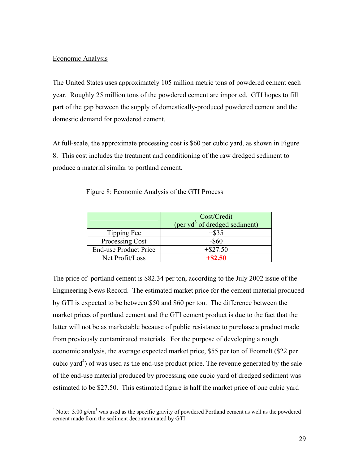### Economic Analysis

The United States uses approximately 105 million metric tons of powdered cement each year. Roughly 25 million tons of the powdered cement are imported. GTI hopes to fill part of the gap between the supply of domestically-produced powdered cement and the domestic demand for powdered cement.

At full-scale, the approximate processing cost is \$60 per cubic yard, as shown in Figure 8. This cost includes the treatment and conditioning of the raw dredged sediment to produce a material similar to portland cement.

|                              | Cost/Credit                      |
|------------------------------|----------------------------------|
|                              | (per $yd^3$ of dredged sediment) |
| Tipping Fee                  | $+$ \$35                         |
| Processing Cost              | $-$ \$60                         |
| <b>End-use Product Price</b> | $+$ \$27.50                      |
| Net Profit/Loss              | $+$ \$2.50                       |

Figure 8: Economic Analysis of the GTI Process

The price of portland cement is \$82.34 per ton, according to the July 2002 issue of the Engineering News Record. The estimated market price for the cement material produced by GTI is expected to be between \$50 and \$60 per ton. The difference between the market prices of portland cement and the GTI cement product is due to the fact that the latter will not be as marketable because of public resistance to purchase a product made from previously contaminated materials. For the purpose of developing a rough economic analysis, the average expected market price, \$55 per ton of Ecomelt (\$22 per cubic yard<sup>4</sup>) of was used as the end-use product price. The revenue generated by the sale of the end-use material produced by processing one cubic yard of dredged sediment was estimated to be \$27.50. This estimated figure is half the market price of one cubic yard

<sup>&</sup>lt;sup>4</sup> Note:  $3.00 \text{ g/cm}^3$  was used as the specific gravity of powdered Portland cement as well as the powdered cement made from the sediment decontaminated by GTI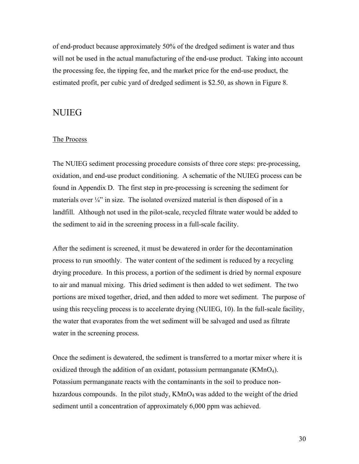of end-product because approximately 50% of the dredged sediment is water and thus will not be used in the actual manufacturing of the end-use product. Taking into account the processing fee, the tipping fee, and the market price for the end-use product, the estimated profit, per cubic yard of dredged sediment is \$2.50, as shown in Figure 8.

## NUIEG

### The Process

The NUIEG sediment processing procedure consists of three core steps: pre-processing, oxidation, and end-use product conditioning. A schematic of the NUIEG process can be found in Appendix D. The first step in pre-processing is screening the sediment for materials over  $\frac{1}{4}$ " in size. The isolated oversized material is then disposed of in a landfill. Although not used in the pilot-scale, recycled filtrate water would be added to the sediment to aid in the screening process in a full-scale facility.

After the sediment is screened, it must be dewatered in order for the decontamination process to run smoothly. The water content of the sediment is reduced by a recycling drying procedure. In this process, a portion of the sediment is dried by normal exposure to air and manual mixing. This dried sediment is then added to wet sediment. The two portions are mixed together, dried, and then added to more wet sediment. The purpose of using this recycling process is to accelerate drying (NUIEG, 10). In the full-scale facility, the water that evaporates from the wet sediment will be salvaged and used as filtrate water in the screening process.

Once the sediment is dewatered, the sediment is transferred to a mortar mixer where it is oxidized through the addition of an oxidant, potassium permanganate  $(KMnO<sub>4</sub>)$ . Potassium permanganate reacts with the contaminants in the soil to produce nonhazardous compounds. In the pilot study,  $KMnO<sub>4</sub>$  was added to the weight of the dried sediment until a concentration of approximately 6,000 ppm was achieved.

30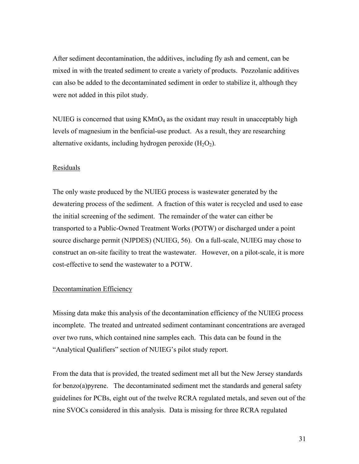After sediment decontamination, the additives, including fly ash and cement, can be mixed in with the treated sediment to create a variety of products. Pozzolanic additives can also be added to the decontaminated sediment in order to stabilize it, although they were not added in this pilot study.

NUIEG is concerned that using  $KMnO<sub>4</sub>$  as the oxidant may result in unacceptably high levels of magnesium in the benficial-use product. As a result, they are researching alternative oxidants, including hydrogen peroxide  $(H_2O_2)$ .

### Residuals

The only waste produced by the NUIEG process is wastewater generated by the dewatering process of the sediment. A fraction of this water is recycled and used to ease the initial screening of the sediment. The remainder of the water can either be transported to a Public-Owned Treatment Works (POTW) or discharged under a point source discharge permit (NJPDES) (NUIEG, 56). On a full-scale, NUIEG may chose to construct an on-site facility to treat the wastewater. However, on a pilot-scale, it is more cost-effective to send the wastewater to a POTW.

### Decontamination Efficiency

Missing data make this analysis of the decontamination efficiency of the NUIEG process incomplete. The treated and untreated sediment contaminant concentrations are averaged over two runs, which contained nine samples each. This data can be found in the "Analytical Qualifiers" section of NUIEG's pilot study report.

From the data that is provided, the treated sediment met all but the New Jersey standards for benzo(a)pyrene. The decontaminated sediment met the standards and general safety guidelines for PCBs, eight out of the twelve RCRA regulated metals, and seven out of the nine SVOCs considered in this analysis. Data is missing for three RCRA regulated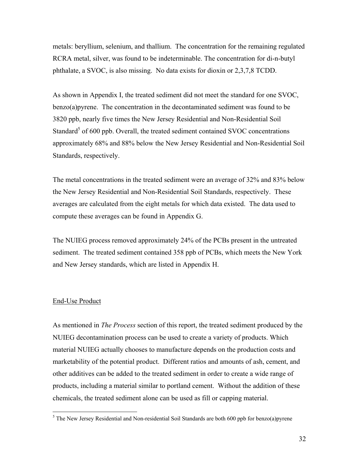metals: beryllium, selenium, and thallium. The concentration for the remaining regulated RCRA metal, silver, was found to be indeterminable. The concentration for di-n-butyl phthalate, a SVOC, is also missing. No data exists for dioxin or 2,3,7,8 TCDD.

As shown in Appendix I, the treated sediment did not meet the standard for one SVOC, benzo(a)pyrene. The concentration in the decontaminated sediment was found to be 3820 ppb, nearly five times the New Jersey Residential and Non-Residential Soil Standard<sup>5</sup> of 600 ppb. Overall, the treated sediment contained SVOC concentrations approximately 68% and 88% below the New Jersey Residential and Non-Residential Soil Standards, respectively.

The metal concentrations in the treated sediment were an average of 32% and 83% below the New Jersey Residential and Non-Residential Soil Standards, respectively. These averages are calculated from the eight metals for which data existed. The data used to compute these averages can be found in Appendix G.

The NUIEG process removed approximately 24% of the PCBs present in the untreated sediment. The treated sediment contained 358 ppb of PCBs, which meets the New York and New Jersey standards, which are listed in Appendix H.

### End-Use Product

As mentioned in *The Process* section of this report, the treated sediment produced by the NUIEG decontamination process can be used to create a variety of products. Which material NUIEG actually chooses to manufacture depends on the production costs and marketability of the potential product. Different ratios and amounts of ash, cement, and other additives can be added to the treated sediment in order to create a wide range of products, including a material similar to portland cement. Without the addition of these chemicals, the treated sediment alone can be used as fill or capping material.

 $<sup>5</sup>$  The New Jersey Residential and Non-residential Soil Standards are both 600 ppb for benzo(a)pyrene</sup>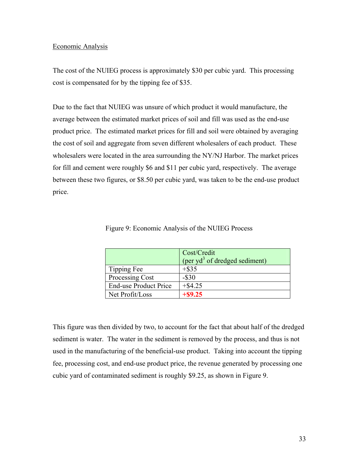### Economic Analysis

The cost of the NUIEG process is approximately \$30 per cubic yard. This processing cost is compensated for by the tipping fee of \$35.

Due to the fact that NUIEG was unsure of which product it would manufacture, the average between the estimated market prices of soil and fill was used as the end-use product price. The estimated market prices for fill and soil were obtained by averaging the cost of soil and aggregate from seven different wholesalers of each product. These wholesalers were located in the area surrounding the NY/NJ Harbor. The market prices for fill and cement were roughly \$6 and \$11 per cubic yard, respectively. The average between these two figures, or \$8.50 per cubic yard, was taken to be the end-use product price.

|                              | Cost/Credit                      |
|------------------------------|----------------------------------|
|                              | (per $yd^3$ of dredged sediment) |
| Tipping Fee                  | $+$ \$35                         |
| Processing Cost              | $-$ \$30                         |
| <b>End-use Product Price</b> | $+$ \$4.25                       |
| Net Profit/Loss              | $+$ \$9.25                       |

Figure 9: Economic Analysis of the NUIEG Process

This figure was then divided by two, to account for the fact that about half of the dredged sediment is water. The water in the sediment is removed by the process, and thus is not used in the manufacturing of the beneficial-use product. Taking into account the tipping fee, processing cost, and end-use product price, the revenue generated by processing one cubic yard of contaminated sediment is roughly \$9.25, as shown in Figure 9.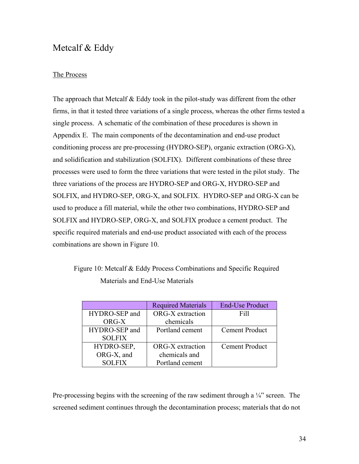# Metcalf & Eddy

## The Process

The approach that Metcalf  $& Eddy$  took in the pilot-study was different from the other firms, in that it tested three variations of a single process, whereas the other firms tested a single process. A schematic of the combination of these procedures is shown in Appendix E. The main components of the decontamination and end-use product conditioning process are pre-processing (HYDRO-SEP), organic extraction (ORG-X), and solidification and stabilization (SOLFIX). Different combinations of these three processes were used to form the three variations that were tested in the pilot study. The three variations of the process are HYDRO-SEP and ORG-X, HYDRO-SEP and SOLFIX, and HYDRO-SEP, ORG-X, and SOLFIX. HYDRO-SEP and ORG-X can be used to produce a fill material, while the other two combinations, HYDRO-SEP and SOLFIX and HYDRO-SEP, ORG-X, and SOLFIX produce a cement product. The specific required materials and end-use product associated with each of the process combinations are shown in Figure 10.

# Figure 10: Metcalf & Eddy Process Combinations and Specific Required Materials and End-Use Materials

|               | <b>Required Materials</b> | <b>End-Use Product</b> |
|---------------|---------------------------|------------------------|
| HYDRO-SEP and | ORG-X extraction          | Fill                   |
| ORG-X         | chemicals                 |                        |
| HYDRO-SEP and | Portland cement           | <b>Cement Product</b>  |
| <b>SOLFIX</b> |                           |                        |
| HYDRO-SEP,    | ORG-X extraction          | <b>Cement Product</b>  |
| ORG-X, and    | chemicals and             |                        |
| <b>SOLFIX</b> | Portland cement           |                        |

Pre-processing begins with the screening of the raw sediment through a  $\frac{1}{4}$  screen. The screened sediment continues through the decontamination process; materials that do not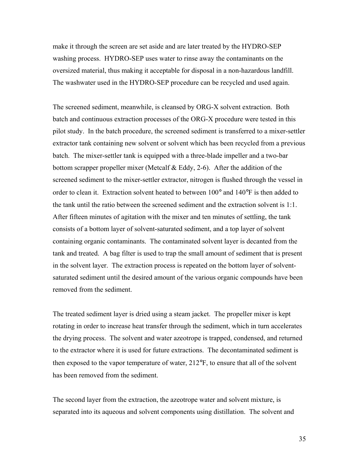make it through the screen are set aside and are later treated by the HYDRO-SEP washing process. HYDRO-SEP uses water to rinse away the contaminants on the oversized material, thus making it acceptable for disposal in a non-hazardous landfill. The washwater used in the HYDRO-SEP procedure can be recycled and used again.

The screened sediment, meanwhile, is cleansed by ORG-X solvent extraction. Both batch and continuous extraction processes of the ORG-X procedure were tested in this pilot study. In the batch procedure, the screened sediment is transferred to a mixer-settler extractor tank containing new solvent or solvent which has been recycled from a previous batch. The mixer-settler tank is equipped with a three-blade impeller and a two-bar bottom scrapper propeller mixer (Metcalf & Eddy, 2-6). After the addition of the screened sediment to the mixer-settler extractor, nitrogen is flushed through the vessel in order to clean it. Extraction solvent heated to between 100° and 140°F is then added to the tank until the ratio between the screened sediment and the extraction solvent is 1:1. After fifteen minutes of agitation with the mixer and ten minutes of settling, the tank consists of a bottom layer of solvent-saturated sediment, and a top layer of solvent containing organic contaminants. The contaminated solvent layer is decanted from the tank and treated. A bag filter is used to trap the small amount of sediment that is present in the solvent layer. The extraction process is repeated on the bottom layer of solventsaturated sediment until the desired amount of the various organic compounds have been removed from the sediment.

The treated sediment layer is dried using a steam jacket. The propeller mixer is kept rotating in order to increase heat transfer through the sediment, which in turn accelerates the drying process. The solvent and water azeotrope is trapped, condensed, and returned to the extractor where it is used for future extractions. The decontaminated sediment is then exposed to the vapor temperature of water, 212°F, to ensure that all of the solvent has been removed from the sediment.

The second layer from the extraction, the azeotrope water and solvent mixture, is separated into its aqueous and solvent components using distillation. The solvent and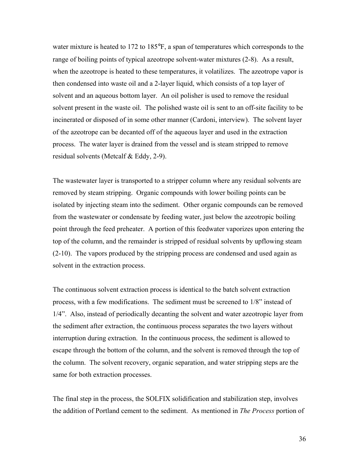water mixture is heated to 172 to 185°F, a span of temperatures which corresponds to the range of boiling points of typical azeotrope solvent-water mixtures (2-8). As a result, when the azeotrope is heated to these temperatures, it volatilizes. The azeotrope vapor is then condensed into waste oil and a 2-layer liquid, which consists of a top layer of solvent and an aqueous bottom layer. An oil polisher is used to remove the residual solvent present in the waste oil. The polished waste oil is sent to an off-site facility to be incinerated or disposed of in some other manner (Cardoni, interview). The solvent layer of the azeotrope can be decanted off of the aqueous layer and used in the extraction process. The water layer is drained from the vessel and is steam stripped to remove residual solvents (Metcalf & Eddy, 2-9).

The wastewater layer is transported to a stripper column where any residual solvents are removed by steam stripping. Organic compounds with lower boiling points can be isolated by injecting steam into the sediment. Other organic compounds can be removed from the wastewater or condensate by feeding water, just below the azeotropic boiling point through the feed preheater. A portion of this feedwater vaporizes upon entering the top of the column, and the remainder is stripped of residual solvents by upflowing steam (2-10). The vapors produced by the stripping process are condensed and used again as solvent in the extraction process.

The continuous solvent extraction process is identical to the batch solvent extraction process, with a few modifications. The sediment must be screened to 1/8" instead of 1/4". Also, instead of periodically decanting the solvent and water azeotropic layer from the sediment after extraction, the continuous process separates the two layers without interruption during extraction. In the continuous process, the sediment is allowed to escape through the bottom of the column, and the solvent is removed through the top of the column. The solvent recovery, organic separation, and water stripping steps are the same for both extraction processes.

The final step in the process, the SOLFIX solidification and stabilization step, involves the addition of Portland cement to the sediment. As mentioned in *The Process* portion of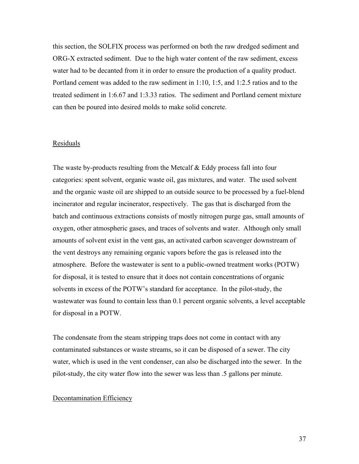this section, the SOLFIX process was performed on both the raw dredged sediment and ORG-X extracted sediment. Due to the high water content of the raw sediment, excess water had to be decanted from it in order to ensure the production of a quality product. Portland cement was added to the raw sediment in 1:10, 1:5, and 1:2.5 ratios and to the treated sediment in 1:6.67 and 1:3.33 ratios. The sediment and Portland cement mixture can then be poured into desired molds to make solid concrete.

### Residuals

The waste by-products resulting from the Metcalf  $& Eddy$  process fall into four categories: spent solvent, organic waste oil, gas mixtures, and water. The used solvent and the organic waste oil are shipped to an outside source to be processed by a fuel-blend incinerator and regular incinerator, respectively. The gas that is discharged from the batch and continuous extractions consists of mostly nitrogen purge gas, small amounts of oxygen, other atmospheric gases, and traces of solvents and water. Although only small amounts of solvent exist in the vent gas, an activated carbon scavenger downstream of the vent destroys any remaining organic vapors before the gas is released into the atmosphere. Before the wastewater is sent to a public-owned treatment works (POTW) for disposal, it is tested to ensure that it does not contain concentrations of organic solvents in excess of the POTW's standard for acceptance. In the pilot-study, the wastewater was found to contain less than 0.1 percent organic solvents, a level acceptable for disposal in a POTW.

The condensate from the steam stripping traps does not come in contact with any contaminated substances or waste streams, so it can be disposed of a sewer. The city water, which is used in the vent condenser, can also be discharged into the sewer. In the pilot-study, the city water flow into the sewer was less than .5 gallons per minute.

#### Decontamination Efficiency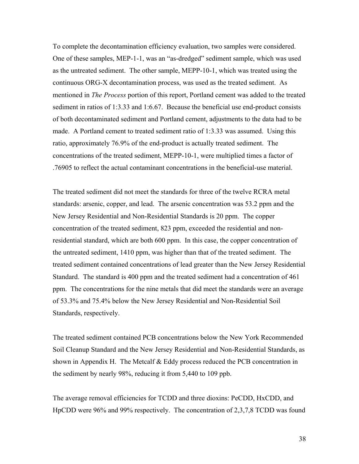To complete the decontamination efficiency evaluation, two samples were considered. One of these samples, MEP-1-1, was an "as-dredged" sediment sample, which was used as the untreated sediment. The other sample, MEPP-10-1, which was treated using the continuous ORG-X decontamination process, was used as the treated sediment. As mentioned in *The Process* portion of this report, Portland cement was added to the treated sediment in ratios of 1:3.33 and 1:6.67. Because the beneficial use end-product consists of both decontaminated sediment and Portland cement, adjustments to the data had to be made. A Portland cement to treated sediment ratio of 1:3.33 was assumed. Using this ratio, approximately 76.9% of the end-product is actually treated sediment. The concentrations of the treated sediment, MEPP-10-1, were multiplied times a factor of .76905 to reflect the actual contaminant concentrations in the beneficial-use material.

The treated sediment did not meet the standards for three of the twelve RCRA metal standards: arsenic, copper, and lead. The arsenic concentration was 53.2 ppm and the New Jersey Residential and Non-Residential Standards is 20 ppm. The copper concentration of the treated sediment, 823 ppm, exceeded the residential and nonresidential standard, which are both 600 ppm. In this case, the copper concentration of the untreated sediment, 1410 ppm, was higher than that of the treated sediment. The treated sediment contained concentrations of lead greater than the New Jersey Residential Standard. The standard is 400 ppm and the treated sediment had a concentration of 461 ppm. The concentrations for the nine metals that did meet the standards were an average of 53.3% and 75.4% below the New Jersey Residential and Non-Residential Soil Standards, respectively.

The treated sediment contained PCB concentrations below the New York Recommended Soil Cleanup Standard and the New Jersey Residential and Non-Residential Standards, as shown in Appendix H. The Metcalf  $& E$ ddy process reduced the PCB concentration in the sediment by nearly 98%, reducing it from 5,440 to 109 ppb.

The average removal efficiencies for TCDD and three dioxins: PeCDD, HxCDD, and HpCDD were 96% and 99% respectively. The concentration of 2,3,7,8 TCDD was found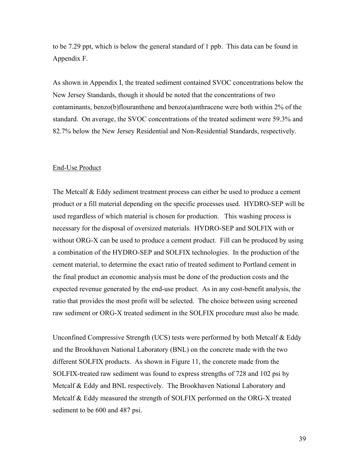to be 7.29 ppt, which is below the general standard of 1 ppb. This data can be found in Appendix F.

As shown in Appendix I, the treated sediment contained SVOC concentrations below the New Jersey Standards, though it should be noted that the concentrations of two contaminants, benzo(b)flouranthene and benzo(a)anthracene were both within 2% of the standard. On average, the SVOC concentrations of the treated sediment were 59.3% and 82.7% below the New Jersey Residential and Non-Residential Standards, respectively.

#### End-Use Product

The Metcalf & Eddy sediment treatment process can either be used to produce a cement product or a fill material depending on the specific processes used. HYDRO-SEP will be used regardless of which material is chosen for production. This washing process is necessary for the disposal of oversized materials. HYDRO-SEP and SOLFIX with or without ORG-X can be used to produce a cement product. Fill can be produced by using a combination of the HYDRO-SEP and SOLFIX technologies. In the production of the cement material, to determine the exact ratio of treated sediment to Portland cement in the final product an economic analysis must be done of the production costs and the expected revenue generated by the end-use product. As in any cost-benefit analysis, the ratio that provides the most profit will be selected. The choice between using screened raw sediment or ORG-X treated sediment in the SOLFIX procedure must also be made.

Unconfined Compressive Strength (UCS) tests were performed by both Metcalf & Eddy and the Brookhaven National Laboratory (BNL) on the concrete made with the two different SOLFIX products. As shown in Figure 11, the concrete made from the SOLFIX-treated raw sediment was found to express strengths of 728 and 102 psi by Metcalf & Eddy and BNL respectively. The Brookhaven National Laboratory and Metcalf & Eddy measured the strength of SOLFIX performed on the ORG-X treated sediment to be 600 and 487 psi.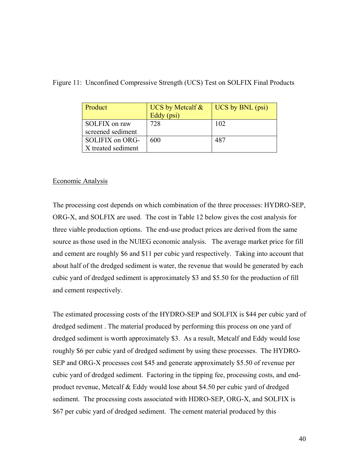| Product                               | UCS by Metcalf $\&$<br>Eddy (psi) | UCS by BNL (psi) |
|---------------------------------------|-----------------------------------|------------------|
| SOLFIX on raw<br>screened sediment    | 728                               | 102              |
| SOLIFIX on ORG-<br>X treated sediment | 600                               | 487              |

### Figure 11: Unconfined Compressive Strength (UCS) Test on SOLFIX Final Products

### Economic Analysis

The processing cost depends on which combination of the three processes: HYDRO-SEP, ORG-X, and SOLFIX are used. The cost in Table 12 below gives the cost analysis for three viable production options. The end-use product prices are derived from the same source as those used in the NUIEG economic analysis. The average market price for fill and cement are roughly \$6 and \$11 per cubic yard respectively. Taking into account that about half of the dredged sediment is water, the revenue that would be generated by each cubic yard of dredged sediment is approximately \$3 and \$5.50 for the production of fill and cement respectively.

The estimated processing costs of the HYDRO-SEP and SOLFIX is \$44 per cubic yard of dredged sediment . The material produced by performing this process on one yard of dredged sediment is worth approximately \$3. As a result, Metcalf and Eddy would lose roughly \$6 per cubic yard of dredged sediment by using these processes. The HYDRO-SEP and ORG-X processes cost \$45 and generate approximately \$5.50 of revenue per cubic yard of dredged sediment. Factoring in the tipping fee, processing costs, and endproduct revenue, Metcalf & Eddy would lose about \$4.50 per cubic yard of dredged sediment. The processing costs associated with HDRO-SEP, ORG-X, and SOLFIX is \$67 per cubic yard of dredged sediment. The cement material produced by this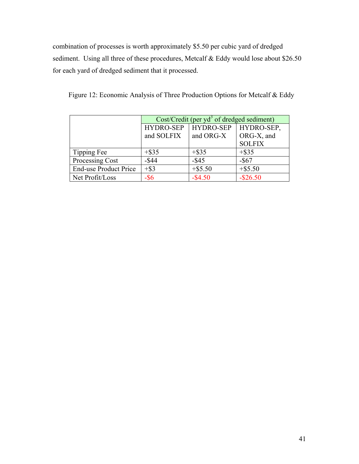combination of processes is worth approximately \$5.50 per cubic yard of dredged sediment. Using all three of these procedures, Metcalf & Eddy would lose about \$26.50 for each yard of dredged sediment that it processed.

|                              | $Cost/Credit$ (per yd <sup>3</sup> of dredged sediment) |                                |               |  |  |  |  |
|------------------------------|---------------------------------------------------------|--------------------------------|---------------|--|--|--|--|
|                              | HYDRO-SEP                                               | <b>HYDRO-SEP</b><br>HYDRO-SEP, |               |  |  |  |  |
|                              | and SOLFIX                                              | and ORG-X                      | ORG-X, and    |  |  |  |  |
|                              |                                                         |                                | <b>SOLFIX</b> |  |  |  |  |
| Tipping Fee                  | $+$ \$35                                                | $+$ \$35                       | $+$ \$35      |  |  |  |  |
| Processing Cost              | $-$ \$44                                                | $-$ \$45                       | $-$ \$67      |  |  |  |  |
| <b>End-use Product Price</b> | $+$ \$3                                                 | $+$ \$5.50                     | $+$ \$5.50    |  |  |  |  |
| Net Profit/Loss              | $-$ \$6                                                 | $-$ \$4.50                     | $-$ \$26.50   |  |  |  |  |

Figure 12: Economic Analysis of Three Production Options for Metcalf & Eddy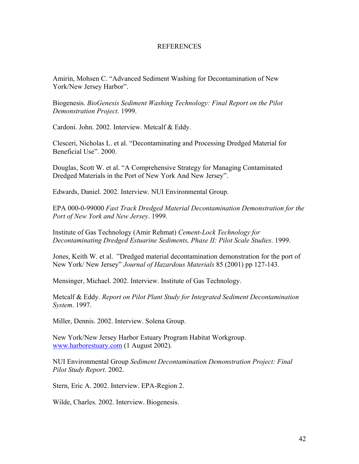### **REFERENCES**

Amirin, Mohsen C. "Advanced Sediment Washing for Decontamination of New York/New Jersey Harbor".

Biogenesis. *BioGenesis Sediment Washing Technology: Final Report on the Pilot Demonstration Project*. 1999.

Cardoni. John. 2002. Interview. Metcalf & Eddy.

Clesceri, Nicholas L. et al. "Decontaminating and Processing Dredged Material for Beneficial Use". 2000.

Douglas, Scott W. et al. "A Comprehensive Strategy for Managing Contaminated Dredged Materials in the Port of New York And New Jersey".

Edwards, Daniel. 2002. Interview. NUI Environmental Group.

EPA 000-0-99000 *Fast Track Dredged Material Decontamination Demonstration for the Port of New York and New Jersey*. 1999.

Institute of Gas Technology (Amir Rehmat) *Cement-Lock Technology for Decontaminating Dredged Estuarine Sediments, Phase II: Pilot Scale Studies*. 1999.

Jones, Keith W. et al. "Dredged material decontamination demonstration for the port of New York/ New Jersey" *Journal of Hazardous Materials* 85 (2001) pp 127-143.

Mensinger, Michael. 2002. Interview. Institute of Gas Technology.

Metcalf & Eddy. *Report on Pilot Plant Study for Integrated Sediment Decontamination System*. 1997.

Miller, Dennis. 2002. Interview. Solena Group.

New York/New Jersey Harbor Estuary Program Habitat Workgroup. www.harborestuary.com (1 August 2002).

NUI Environmental Group *Sediment Decontamination Demonstration Project: Final Pilot Study Report*. 2002.

Stern, Eric A. 2002. Interview. EPA-Region 2.

Wilde, Charles. 2002. Interview. Biogenesis.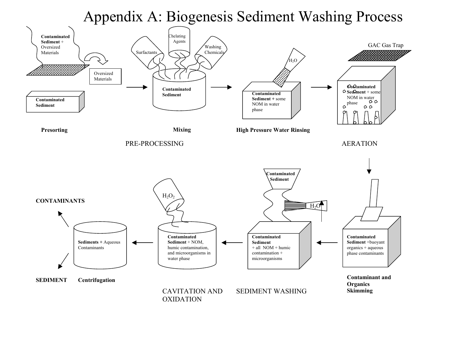# Appendix A: Biogenesis Sediment Washing Process

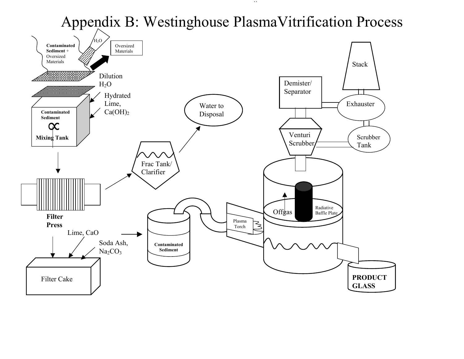# Appendix B: Westinghouse PlasmaVitrification Process

 $\lambda$ 

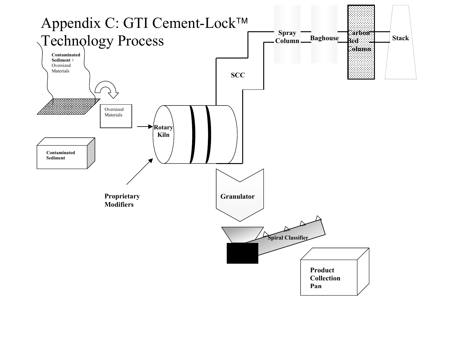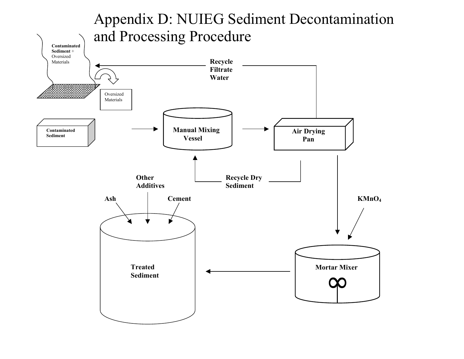# Appendix D: NUIEG Sediment Decontamination **Contaminated Sedi ment** + Oversized Materials Oversized Materials **Conta minated Sedi ment Manual Mixing Vessel Air Drying Pan Recycle Filtrate Water**  and Processing Procedure **Other Recycle Dry** Additives Sediment **Treated Sediment Ash Cement Mortar Mixer**∞ **KMnO4**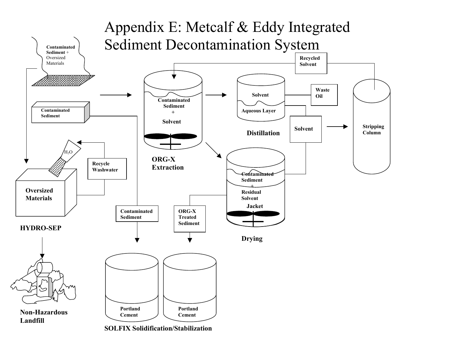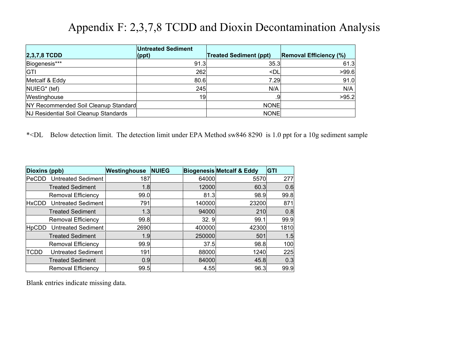# Appendix F: 2,3,7,8 TCDD and Dioxin Decontamination Analysis

| $2,3,7,8$ TCDD                        | <b>Untreated Sediment</b><br>$ $ (ppt) | <b>Treated Sediment (ppt)</b>      | <b>Removal Efficiency (%)</b> |
|---------------------------------------|----------------------------------------|------------------------------------|-------------------------------|
| Biogenesis***                         | 91.3                                   | 35.3                               | 61.3                          |
| <b>GTI</b>                            | 262                                    | <dl< td=""><td>&gt;99.6</td></dl<> | >99.6                         |
| Metcalf & Eddy                        | 80.6                                   | 7.29                               | 91.0                          |
| NUIEG <sup>*</sup> (tef)              | 245                                    | N/A                                | N/A                           |
| Westinghouse                          | 19                                     | .91                                | >95.2                         |
| NY Recommended Soil Cleanup Standard  |                                        | <b>NONE</b>                        |                               |
| NJ Residential Soil Cleanup Standards |                                        | <b>NONE</b>                        |                               |

\*<DL Below detection limit. The detection limit under EPA Method sw846 8290 is 1.0 ppt for a 10g sedim ent sa mple

| Dioxins (ppb) |                           | Westinghouse | <b>NUIEG</b> |        | <b>Biogenesis Metcalf &amp; Eddy</b> | <b>GTI</b> |
|---------------|---------------------------|--------------|--------------|--------|--------------------------------------|------------|
| PeCDD         | <b>Untreated Sediment</b> | 187          |              | 64000  | 5570                                 | 277        |
|               | <b>Treated Sediment</b>   | 1.8          |              | 12000  | 60.3                                 | 0.6        |
|               | <b>Removal Efficiency</b> | 99.0         |              | 81.3   | 98.9                                 | 99.8       |
| <b>HxCDD</b>  | <b>Untreated Sediment</b> | 791          |              | 140000 | 23200                                | 871        |
|               | <b>Treated Sediment</b>   | 1.3          |              | 94000  | 210                                  | 0.8        |
|               | <b>Removal Efficiency</b> | 99.8         |              | 32.9   | 99.1                                 | 99.9       |
| <b>HpCDD</b>  | <b>Untreated Sediment</b> | 2690         |              | 400000 | 42300                                | 1810       |
|               | <b>Treated Sediment</b>   | 1.9          |              | 250000 | 501                                  | 1.5        |
|               | <b>Removal Efficiency</b> | 99.9         |              | 37.5   | 98.8                                 | 100        |
| TCDD          | <b>Untreated Sediment</b> | 191          |              | 88000  | 1240                                 | 225        |
|               | <b>Treated Sediment</b>   | 0.9          |              | 84000  | 45.8                                 | 0.3        |
|               | <b>Removal Efficiency</b> | 99.5         |              | 4.55   | 96.3                                 | 99.9       |

Blank entries indicate missing data.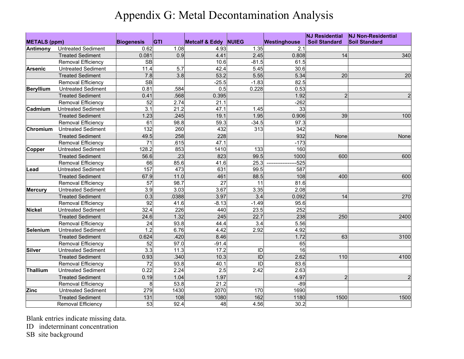# Appendix G: Metal Decontamination Analysis

| <b>METALS (ppm)</b> |                           | <b>Biogenesis</b> | <b>GTI</b> | <b>Metcalf &amp; Eddy</b> | <b>NUIEG</b> | Westinghouse | <b>NJ Residential</b><br><b>Soil Standard</b> | <b>NJ Non-Residential</b><br><b>Soil Standard</b> |
|---------------------|---------------------------|-------------------|------------|---------------------------|--------------|--------------|-----------------------------------------------|---------------------------------------------------|
| Antimony            | <b>Untreated Sediment</b> | 0.62              | 1.08       | 4.93                      | 1.35         | 2.1          |                                               |                                                   |
|                     | <b>Treated Sediment</b>   | 0.081             | 0.9        | 4.41                      | 2.45         | 0.808        | 14                                            | 340                                               |
|                     | Removal Efficiency        | SB                |            | 10.6                      | $-81.5$      | 61.5         |                                               |                                                   |
| <b>Arsenic</b>      | <b>Untreated Sediment</b> | 11.4              | 5.7        | 42.4                      | 5.45         | 30.6         |                                               |                                                   |
|                     | <b>Treated Sediment</b>   | 7.8               | 3.8        | 53.2                      | 5.55         | 5.34         | 20                                            | 20                                                |
|                     | Removal Efficiency        | SB                |            | $-25.5$                   | $-1.83$      | 82.5         |                                               |                                                   |
| <b>Beryllium</b>    | <b>Untreated Sediment</b> | 0.81              | .584       | 0.5                       | 0.228        | 0.53         |                                               |                                                   |
|                     | <b>Treated Sediment</b>   | 0.41              | .568       | 0.395                     |              | 1.92         | $\overline{2}$                                |                                                   |
|                     | Removal Efficiency        | 52                | 2.74       | 21.1                      |              | $-262$       |                                               |                                                   |
| Cadmium             | <b>Untreated Sediment</b> | 3.1               | 21.2       | 47.1                      | 1.45         | 33           |                                               |                                                   |
|                     | <b>Treated Sediment</b>   | 1.23              | .245       | 19.1                      | 1.95         | 0.906        | 39                                            | 100                                               |
|                     | Removal Efficiency        | 61                | 98.8       | 59.3                      | $-34.5$      | 97.3         |                                               |                                                   |
| Chromium            | <b>Untreated Sediment</b> | 132               | 260        | 432                       | 313          | 342          |                                               |                                                   |
|                     | <b>Treated Sediment</b>   | 49.5              | 258        | 228                       |              | 932          | None                                          | None                                              |
|                     | Removal Efficiency        | $\overline{71}$   | .615       | 47.1                      |              | $-173$       |                                               |                                                   |
| <b>Copper</b>       | <b>Untreated Sediment</b> | 128.2             | 853        | 1410                      | 133          | 160          |                                               |                                                   |
|                     | <b>Treated Sediment</b>   | 56.6              | .23        | 823                       | 99.5         | 1000         | 600                                           | 600                                               |
|                     | Removal Efficiency        | 66                | 85.6       | 41.6                      | 25.3         | $-525$       |                                               |                                                   |
| Lead                | <b>Untreated Sediment</b> | 157               | 473        | 631                       | 99.5         | 587          |                                               |                                                   |
|                     | <b>Treated Sediment</b>   | 67.9              | 11.0       | 461                       | 88.5         | 108          | 400                                           | 600                                               |
|                     | Removal Efficiency        | 57                | 98.7       | $\overline{27}$           | 11           | 81.6         |                                               |                                                   |
| <b>Mercury</b>      | <b>Untreated Sediment</b> | 3.9               | 3.03       | 3.67                      | 3.35         | 2.08         |                                               |                                                   |
|                     | <b>Treated Sediment</b>   | 0.3               | .0388      | 3.97                      | 3.4          | 0.092        | 14                                            | 270                                               |
|                     | Removal Efficiency        | 92                | 41.6       | $-8.13$                   | $-1.49$      | 95.6         |                                               |                                                   |
| <b>Nickel</b>       | <b>Untreated Sediment</b> | 32.4              | 226        | 440                       | 23.5         | 252          |                                               |                                                   |
|                     | <b>Treated Sediment</b>   | 24.6              | 1.32       | 245                       | 22.7         | 238          | 250                                           | 2400                                              |
|                     | Removal Efficiency        | $\overline{24}$   | 93.8       | 44.4                      | 3.4          | 5.56         |                                               |                                                   |
| Selenium            | <b>Untreated Sediment</b> | 1.2               | 6.76       | 4.42                      | 2.92         | 4.92         |                                               |                                                   |
|                     | <b>Treated Sediment</b>   | 0.624             | .420       | 8.46                      |              | 1.72         | 63                                            | 3100                                              |
|                     | Removal Efficiency        | 52                | 97.0       | $-91.4$                   |              | 65           |                                               |                                                   |
| <b>Silver</b>       | <b>Untreated Sediment</b> | 3.3               | 11.3       | 17.2                      | ID           | 16           |                                               |                                                   |
|                     | <b>Treated Sediment</b>   | 0.93              | .340       | 10.3                      | ID           | 2.62         | 110                                           | 4100                                              |
|                     | Removal Efficiency        | 72                | 93.8       | 40.1                      | ID           | 83.6         |                                               |                                                   |
| Thallium            | <b>Untreated Sediment</b> | 0.22              | 2.24       | 2.5                       | 2.42         | 2.63         |                                               |                                                   |
|                     | <b>Treated Sediment</b>   | 0.19              | 1.04       | 1.97                      |              | 4.97         | $\overline{2}$                                | $\overline{2}$                                    |
|                     | <b>Removal Efficiency</b> | 8                 | 53.8       | 21.2                      |              | $-89$        |                                               |                                                   |
| <b>Zinc</b>         | <b>Untreated Sediment</b> | 279               | 1430       | 2070                      | 170          | 1690         |                                               |                                                   |
|                     | <b>Treated Sediment</b>   | 131               | 108        | 1080                      | 162          | 1180         | 1500                                          | 1500                                              |
|                     | Removal Efficiency        | 53                | 92.4       | 48                        | 4.56         | 30.2         |                                               |                                                   |

Blank entries indicate missing data.

ID indeterminant concentration

SB site background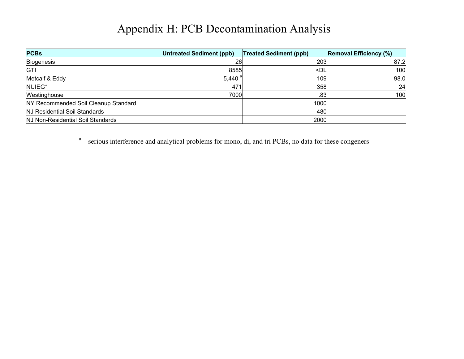# Appendix H: PCB Decontamination Analysis

| <b>PCBs</b>                          | Untreated Sediment (ppb) | <b>Treated Sediment (ppb)</b> | <b>Removal Efficiency (%)</b> |
|--------------------------------------|--------------------------|-------------------------------|-------------------------------|
| Biogenesis                           | 26                       | 203                           | 87.2                          |
| GTI                                  | 8585                     | $\n  $                        | 100                           |
| Metcalf & Eddy                       | 5,440 $a$                | 109                           | 98.0                          |
| NUIEG*                               | 471                      | 358                           | 24                            |
| Westinghouse                         | 7000                     | .83                           | 100                           |
| NY Recommended Soil Cleanup Standard |                          | 1000                          |                               |
| NJ Residential Soil Standards        |                          | 480                           |                               |
| NJ Non-Residential Soil Standards    |                          | 2000                          |                               |

<sup>a</sup> serious interference and analytical problems for mono, di, and tri PCBs, no data for these congeners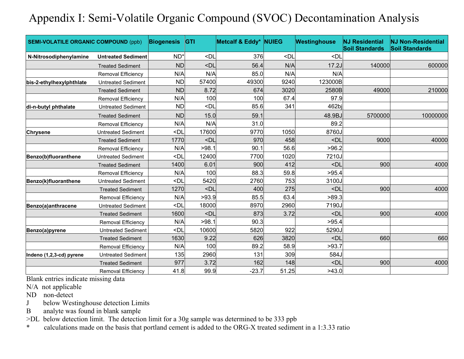# Appendix I: Semi-Volatile Organic Compound (SVOC) Decontamination Analysis

| <b>SEMI-VOLATILE ORGANIC COMPOUND (ppb)</b> |                           | <b>Biogenesis</b>                                                                         | <b>IGTI</b>                                                                                         | Metcalf & Eddy* NUIEG |                                                               | Westinghouse                                 | <b>NJ Residential</b><br><b>Soil Standards</b> | <b>NJ Non-Residential</b><br><b>Soil Standards</b> |
|---------------------------------------------|---------------------------|-------------------------------------------------------------------------------------------|-----------------------------------------------------------------------------------------------------|-----------------------|---------------------------------------------------------------|----------------------------------------------|------------------------------------------------|----------------------------------------------------|
| N-Nitrosodiphenylamine                      | <b>Untreated Sediment</b> | $ND^*$                                                                                    | <dl< td=""><td>376</td><td><dl< td=""><td><dl< td=""><td></td><td></td></dl<></td></dl<></td></dl<> | 376                   | <dl< td=""><td><dl< td=""><td></td><td></td></dl<></td></dl<> | <dl< td=""><td></td><td></td></dl<>          |                                                |                                                    |
|                                             | <b>Treated Sediment</b>   | <b>ND</b>                                                                                 | $<$ Dl                                                                                              | 56.4                  | N/A                                                           | 17.2J                                        | 140000                                         | 600000                                             |
|                                             | Removal Efficiency        | N/A                                                                                       | N/A                                                                                                 | 85.0                  | N/A                                                           | N/A                                          |                                                |                                                    |
| bis-2-ethylhexylphthlate                    | <b>Untreated Sediment</b> | <b>ND</b>                                                                                 | 57400                                                                                               | 49300                 | 9240                                                          | 123000B                                      |                                                |                                                    |
|                                             | <b>Treated Sediment</b>   | <b>ND</b>                                                                                 | 8.72                                                                                                | 674                   | 3020                                                          | 2580B                                        | 49000                                          | 210000                                             |
|                                             | Removal Efficiency        | N/A                                                                                       | 100                                                                                                 | 100                   | 67.4                                                          | 97.9                                         |                                                |                                                    |
| di-n-butyl phthalate                        | <b>Untreated Sediment</b> | <b>ND</b>                                                                                 | <dl< td=""><td>85.6</td><td>341</td><td>462bi</td><td></td><td></td></dl<>                          | 85.6                  | 341                                                           | 462bi                                        |                                                |                                                    |
|                                             | <b>Treated Sediment</b>   | <b>ND</b>                                                                                 | 15.0                                                                                                | 59.1                  |                                                               | 48.9BJ                                       | 5700000                                        | 10000000                                           |
|                                             | Removal Efficiency        | N/A                                                                                       | N/A                                                                                                 | 31.0                  |                                                               | 89.2                                         |                                                |                                                    |
| <b>Chrysene</b>                             | <b>Untreated Sediment</b> | <dl< td=""><td>17600</td><td>9770</td><td>1050</td><td>8760J</td><td></td><td></td></dl<> | 17600                                                                                               | 9770                  | 1050                                                          | 8760J                                        |                                                |                                                    |
|                                             | <b>Treated Sediment</b>   | 1770                                                                                      | <dl< td=""><td>970</td><td>458</td><td><dl< td=""><td>9000</td><td>40000</td></dl<></td></dl<>      | 970                   | 458                                                           | <dl< td=""><td>9000</td><td>40000</td></dl<> | 9000                                           | 40000                                              |
|                                             | <b>Removal Efficiency</b> | N/A                                                                                       | >98.1                                                                                               | 90.1                  | 56.6                                                          | >96.2                                        |                                                |                                                    |
| Benzo(b)fluoranthene                        | <b>Untreated Sediment</b> | $-Dl$                                                                                     | 12400                                                                                               | 7700                  | 1020                                                          | 7210J                                        |                                                |                                                    |
|                                             | <b>Treated Sediment</b>   | 1400                                                                                      | 6.01                                                                                                | 900                   | 412                                                           | $\n  $                                       | 900                                            | 4000                                               |
|                                             | Removal Efficiency        | N/A                                                                                       | 100                                                                                                 | 88.3                  | 59.8                                                          | >95.4                                        |                                                |                                                    |
| Benzo(k)fluoranthene                        | <b>Untreated Sediment</b> | $<$ Dl                                                                                    | 5420                                                                                                | 2760                  | 753                                                           | 3100J                                        |                                                |                                                    |
|                                             | <b>Treated Sediment</b>   | 1270                                                                                      | $\n  <$ DL                                                                                          | 400                   | 275                                                           | <dl< td=""><td>900</td><td>4000</td></dl<>   | 900                                            | 4000                                               |
|                                             | <b>Removal Efficiency</b> | N/A                                                                                       | >93.9                                                                                               | 85.5                  | 63.4                                                          | >89.3                                        |                                                |                                                    |
| Benzo(a)anthracene                          | <b>Untreated Sediment</b> | <dl< td=""><td>18000</td><td>8970</td><td>2960</td><td>7190J</td><td></td><td></td></dl<> | 18000                                                                                               | 8970                  | 2960                                                          | 7190J                                        |                                                |                                                    |
|                                             | <b>Treated Sediment</b>   | 1600                                                                                      | <dl< td=""><td>873</td><td>3.72</td><td><dl< td=""><td>900</td><td>4000</td></dl<></td></dl<>       | 873                   | 3.72                                                          | <dl< td=""><td>900</td><td>4000</td></dl<>   | 900                                            | 4000                                               |
|                                             | Removal Efficiency        | N/A                                                                                       | >98.1                                                                                               | 90.3                  |                                                               | >95.4                                        |                                                |                                                    |
| Benzo(a)pyrene                              | <b>Untreated Sediment</b> | <dl< td=""><td>10600</td><td>5820</td><td>922</td><td>5290J</td><td></td><td></td></dl<>  | 10600                                                                                               | 5820                  | 922                                                           | 5290J                                        |                                                |                                                    |
|                                             | <b>Treated Sediment</b>   | 1630                                                                                      | 9.22                                                                                                | 626                   | 3820                                                          | $\n  <$ DL                                   | 660                                            | 660                                                |
|                                             | Removal Efficiency        | N/A                                                                                       | 100                                                                                                 | 89.2                  | 58.9                                                          | >93.7                                        |                                                |                                                    |
| Indeno (1,2,3-cd) pyrene                    | <b>Untreated Sediment</b> | 135                                                                                       | 2960                                                                                                | 131                   | 309                                                           | 584J                                         |                                                |                                                    |
|                                             | <b>Treated Sediment</b>   | 977                                                                                       | 3.72                                                                                                | 162                   | 148                                                           | <dl< td=""><td>900</td><td>4000</td></dl<>   | 900                                            | 4000                                               |
|                                             | Removal Efficiency        | 41.8                                                                                      | 99.9                                                                                                | $-23.7$               | 51.25                                                         | >43.0                                        |                                                |                                                    |

Blank entries indicate missing data

N/A not applicable

ND non-detect

J below Westinghouse detection Limits

B analyte was found in blank sample

>DL below detection limit. The detection limit for a 30g sample was determined to be 333 ppb

\* calculations m ade on the basis that portland cement is added to the ORG-X treated sedim ent in a 1:3.33 ratio